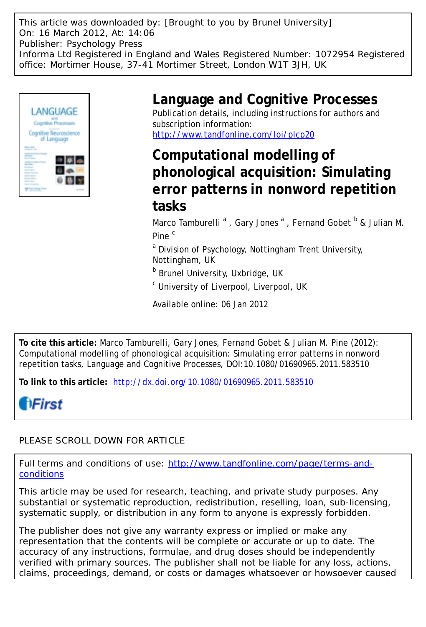This article was downloaded by: [Brought to you by Brunel University] On: 16 March 2012, At: 14:06 Publisher: Psychology Press Informa Ltd Registered in England and Wales Registered Number: 1072954 Registered office: Mortimer House, 37-41 Mortimer Street, London W1T 3JH, UK



# **Language and Cognitive Processes**

Publication details, including instructions for authors and subscription information: <http://www.tandfonline.com/loi/plcp20>

# **Computational modelling of phonological acquisition: Simulating error patterns in nonword repetition tasks**

Marco Tamburelli<sup>a</sup>, Gary Jones<sup>a</sup>, Fernand Gobet <sup>b</sup> & Julian M. Pine<sup>c</sup>

<sup>a</sup> Division of Psychology, Nottingham Trent University, Nottingham, UK

<sup>b</sup> Brunel University, Uxbridge, UK

<sup>c</sup> University of Liverpool, Liverpool, UK

Available online: 06 Jan 2012

**To cite this article:** Marco Tamburelli, Gary Jones, Fernand Gobet & Julian M. Pine (2012): Computational modelling of phonological acquisition: Simulating error patterns in nonword repetition tasks, Language and Cognitive Processes, DOI:10.1080/01690965.2011.583510

**To link to this article:** <http://dx.doi.org/10.1080/01690965.2011.583510>



# PLEASE SCROLL DOWN FOR ARTICLE

Full terms and conditions of use: [http://www.tandfonline.com/page/terms-and](http://www.tandfonline.com/page/terms-and-conditions)[conditions](http://www.tandfonline.com/page/terms-and-conditions)

This article may be used for research, teaching, and private study purposes. Any substantial or systematic reproduction, redistribution, reselling, loan, sub-licensing, systematic supply, or distribution in any form to anyone is expressly forbidden.

The publisher does not give any warranty express or implied or make any representation that the contents will be complete or accurate or up to date. The accuracy of any instructions, formulae, and drug doses should be independently verified with primary sources. The publisher shall not be liable for any loss, actions, claims, proceedings, demand, or costs or damages whatsoever or howsoever caused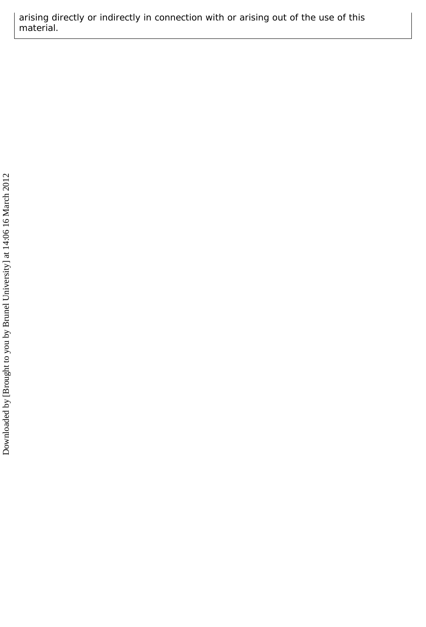arising directly or indirectly in connection with or arising out of the use of this material.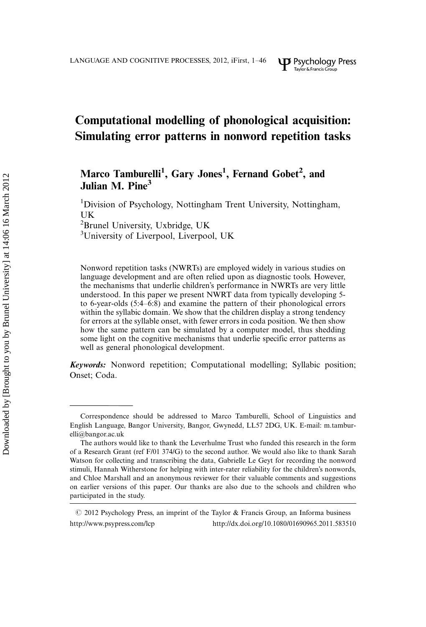# Computational modelling of phonological acquisition: Simulating error patterns in nonword repetition tasks

# Marco Tamburelli<sup>1</sup>, Gary Jones<sup>1</sup>, Fernand Gobet<sup>2</sup>, and Julian M. Pine<sup>3</sup>

<sup>1</sup>Division of Psychology, Nottingham Trent University, Nottingham, UK

<sup>2</sup>Brunel University, Uxbridge, UK

3 University of Liverpool, Liverpool, UK

Nonword repetition tasks (NWRTs) are employed widely in various studies on language development and are often relied upon as diagnostic tools. However, the mechanisms that underlie children's performance in NWRTs are very little understood. In this paper we present NWRT data from typically developing 5 to 6-year-olds (5:4-6:8) and examine the pattern of their phonological errors within the syllabic domain. We show that the children display a strong tendency for errors at the syllable onset, with fewer errors in coda position. We then show how the same pattern can be simulated by a computer model, thus shedding some light on the cognitive mechanisms that underlie specific error patterns as well as general phonological development.

Keywords: Nonword repetition; Computational modelling; Syllabic position; Onset; Coda.

Correspondence should be addressed to Marco Tamburelli, School of Linguistics and English Language, Bangor University, Bangor, Gwynedd, LL57 2DG, UK. E-mail: m.tamburelli@bangor.ac.uk

The authors would like to thank the Leverhulme Trust who funded this research in the form of a Research Grant (ref F/01 374/G) to the second author. We would also like to thank Sarah Watson for collecting and transcribing the data, Gabrielle Le Geyt for recording the nonword stimuli, Hannah Witherstone for helping with inter-rater reliability for the children's nonwords, and Chloe Marshall and an anonymous reviewer for their valuable comments and suggestions on earlier versions of this paper. Our thanks are also due to the schools and children who participated in the study.

 $\odot$  2012 Psychology Press, an imprint of the Taylor & Francis Group, an Informa business <http://www.psypress.com/lcp><http://dx.doi.org/10.1080/01690965.2011.583510>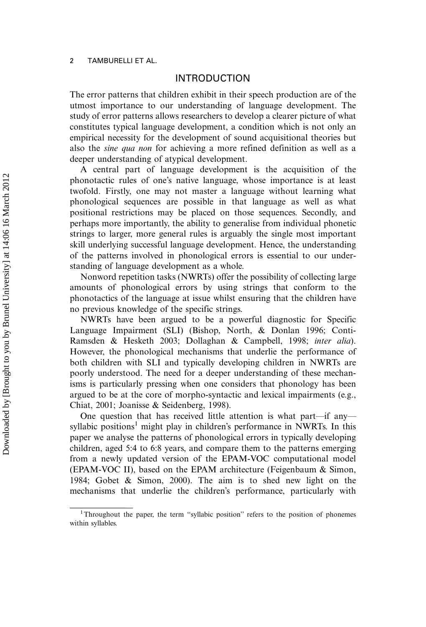# INTRODUCTION

The error patterns that children exhibit in their speech production are of the utmost importance to our understanding of language development. The study of error patterns allows researchers to develop a clearer picture of what constitutes typical language development, a condition which is not only an empirical necessity for the development of sound acquisitional theories but also the sine qua non for achieving a more refined definition as well as a deeper understanding of atypical development.

A central part of language development is the acquisition of the phonotactic rules of one's native language, whose importance is at least twofold. Firstly, one may not master a language without learning what phonological sequences are possible in that language as well as what positional restrictions may be placed on those sequences. Secondly, and perhaps more importantly, the ability to generalise from individual phonetic strings to larger, more general rules is arguably the single most important skill underlying successful language development. Hence, the understanding of the patterns involved in phonological errors is essential to our understanding of language development as a whole.

Nonword repetition tasks (NWRTs) offer the possibility of collecting large amounts of phonological errors by using strings that conform to the phonotactics of the language at issue whilst ensuring that the children have no previous knowledge of the specific strings.

NWRTs have been argued to be a powerful diagnostic for Specific Language Impairment (SLI) (Bishop, North, & Donlan 1996; Conti-Ramsden & Hesketh 2003; Dollaghan & Campbell, 1998; inter alia). However, the phonological mechanisms that underlie the performance of both children with SLI and typically developing children in NWRTs are poorly understood. The need for a deeper understanding of these mechanisms is particularly pressing when one considers that phonology has been argued to be at the core of morpho-syntactic and lexical impairments (e.g., Chiat, 2001; Joanisse & Seidenberg, 1998).

One question that has received little attention is what part—if any syllabic positions<sup>1</sup> might play in children's performance in NWRTs. In this paper we analyse the patterns of phonological errors in typically developing children, aged 5:4 to 6:8 years, and compare them to the patterns emerging from a newly updated version of the EPAM-VOC computational model (EPAM-VOC II), based on the EPAM architecture (Feigenbaum & Simon, 1984; Gobet & Simon, 2000). The aim is to shed new light on the mechanisms that underlie the children's performance, particularly with

<sup>&</sup>lt;sup>1</sup>Throughout the paper, the term "syllabic position" refers to the position of phonemes within syllables.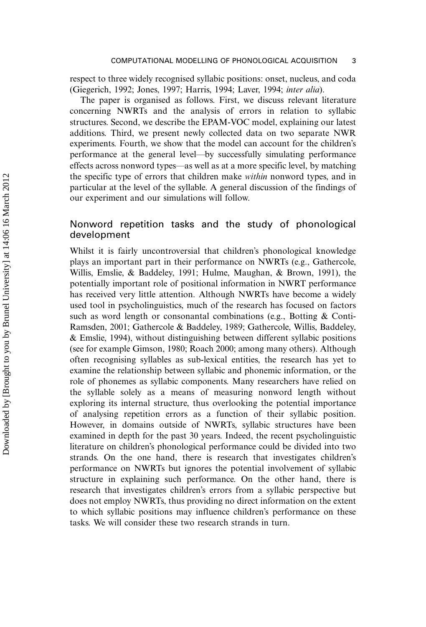respect to three widely recognised syllabic positions: onset, nucleus, and coda (Giegerich, 1992; Jones, 1997; Harris, 1994; Laver, 1994; inter alia).

The paper is organised as follows. First, we discuss relevant literature concerning NWRTs and the analysis of errors in relation to syllabic structures. Second, we describe the EPAM-VOC model, explaining our latest additions. Third, we present newly collected data on two separate NWR experiments. Fourth, we show that the model can account for the children's performance at the general level\*by successfully simulating performance effects across nonword types—as well as at a more specific level, by matching the specific type of errors that children make within nonword types, and in particular at the level of the syllable. A general discussion of the findings of our experiment and our simulations will follow.

# Nonword repetition tasks and the study of phonological development

Whilst it is fairly uncontroversial that children's phonological knowledge plays an important part in their performance on NWRTs (e.g., Gathercole, Willis, Emslie, & Baddeley, 1991; Hulme, Maughan, & Brown, 1991), the potentially important role of positional information in NWRT performance has received very little attention. Although NWRTs have become a widely used tool in psycholinguistics, much of the research has focused on factors such as word length or consonantal combinations (e.g., Botting & Conti-Ramsden, 2001; Gathercole & Baddeley, 1989; Gathercole, Willis, Baddeley, & Emslie, 1994), without distinguishing between different syllabic positions (see for example Gimson, 1980; Roach 2000; among many others). Although often recognising syllables as sub-lexical entities, the research has yet to examine the relationship between syllabic and phonemic information, or the role of phonemes as syllabic components. Many researchers have relied on the syllable solely as a means of measuring nonword length without exploring its internal structure, thus overlooking the potential importance of analysing repetition errors as a function of their syllabic position. However, in domains outside of NWRTs, syllabic structures have been examined in depth for the past 30 years. Indeed, the recent psycholinguistic literature on children's phonological performance could be divided into two strands. On the one hand, there is research that investigates children's performance on NWRTs but ignores the potential involvement of syllabic structure in explaining such performance. On the other hand, there is research that investigates children's errors from a syllabic perspective but does not employ NWRTs, thus providing no direct information on the extent to which syllabic positions may influence children's performance on these tasks. We will consider these two research strands in turn.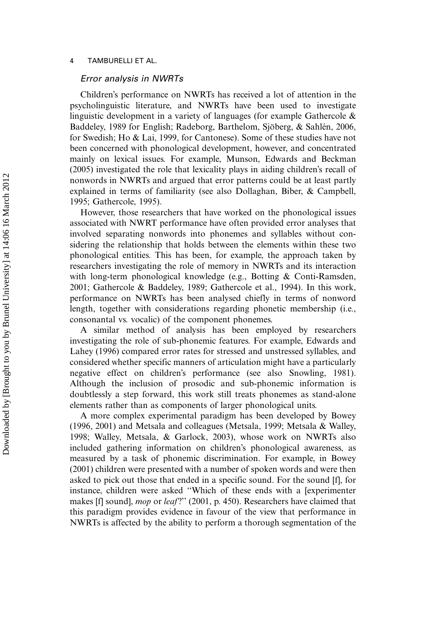#### Error analysis in NWRTs

Children's performance on NWRTs has received a lot of attention in the psycholinguistic literature, and NWRTs have been used to investigate linguistic development in a variety of languages (for example Gathercole & Baddeley, 1989 for English; Radeborg, Barthelom, Sjöberg, & Sahlén, 2006, for Swedish; Ho & Lai, 1999, for Cantonese). Some of these studies have not been concerned with phonological development, however, and concentrated mainly on lexical issues. For example, Munson, Edwards and Beckman (2005) investigated the role that lexicality plays in aiding children's recall of nonwords in NWRTs and argued that error patterns could be at least partly explained in terms of familiarity (see also Dollaghan, Biber, & Campbell, 1995; Gathercole, 1995).

However, those researchers that have worked on the phonological issues associated with NWRT performance have often provided error analyses that involved separating nonwords into phonemes and syllables without considering the relationship that holds between the elements within these two phonological entities. This has been, for example, the approach taken by researchers investigating the role of memory in NWRTs and its interaction with long-term phonological knowledge (e.g., Botting & Conti-Ramsden, 2001; Gathercole & Baddeley, 1989; Gathercole et al., 1994). In this work, performance on NWRTs has been analysed chiefly in terms of nonword length, together with considerations regarding phonetic membership (i.e., consonantal vs. vocalic) of the component phonemes.

A similar method of analysis has been employed by researchers investigating the role of sub-phonemic features. For example, Edwards and Lahey (1996) compared error rates for stressed and unstressed syllables, and considered whether specific manners of articulation might have a particularly negative effect on children's performance (see also Snowling, 1981). Although the inclusion of prosodic and sub-phonemic information is doubtlessly a step forward, this work still treats phonemes as stand-alone elements rather than as components of larger phonological units.

A more complex experimental paradigm has been developed by Bowey (1996, 2001) and Metsala and colleagues (Metsala, 1999; Metsala & Walley, 1998; Walley, Metsala, & Garlock, 2003), whose work on NWRTs also included gathering information on children's phonological awareness, as measured by a task of phonemic discrimination. For example, in Bowey (2001) children were presented with a number of spoken words and were then asked to pick out those that ended in a specific sound. For the sound [f], for instance, children were asked ''Which of these ends with a [experimenter makes [f] sound], *mop* or *leaf*?" (2001, p. 450). Researchers have claimed that this paradigm provides evidence in favour of the view that performance in NWRTs is affected by the ability to perform a thorough segmentation of the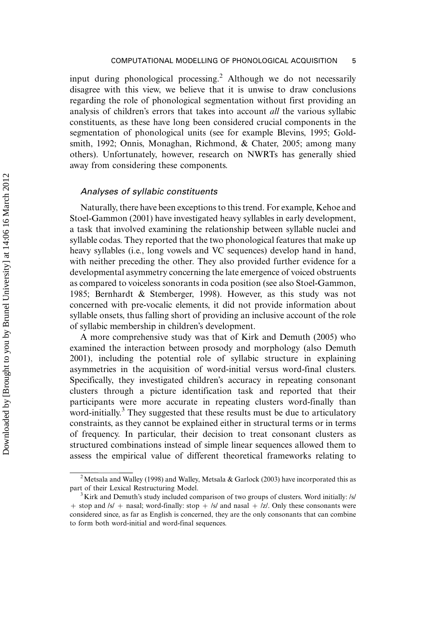input during phonological processing.<sup>2</sup> Although we do not necessarily disagree with this view, we believe that it is unwise to draw conclusions regarding the role of phonological segmentation without first providing an analysis of children's errors that takes into account all the various syllabic constituents, as these have long been considered crucial components in the segmentation of phonological units (see for example Blevins, 1995; Goldsmith, 1992; Onnis, Monaghan, Richmond, & Chater, 2005; among many others). Unfortunately, however, research on NWRTs has generally shied away from considering these components.

# Analyses of syllabic constituents

Naturally, there have been exceptions to this trend. For example, Kehoe and Stoel-Gammon (2001) have investigated heavy syllables in early development, a task that involved examining the relationship between syllable nuclei and syllable codas. They reported that the two phonological features that make up heavy syllables (i.e., long vowels and VC sequences) develop hand in hand, with neither preceding the other. They also provided further evidence for a developmental asymmetry concerning the late emergence of voiced obstruents as compared to voiceless sonorants in coda position (see also Stoel-Gammon, 1985; Bernhardt & Stemberger, 1998). However, as this study was not concerned with pre-vocalic elements, it did not provide information about syllable onsets, thus falling short of providing an inclusive account of the role of syllabic membership in children's development.

A more comprehensive study was that of Kirk and Demuth (2005) who examined the interaction between prosody and morphology (also Demuth 2001), including the potential role of syllabic structure in explaining asymmetries in the acquisition of word-initial versus word-final clusters. Specifically, they investigated children's accuracy in repeating consonant clusters through a picture identification task and reported that their participants were more accurate in repeating clusters word-finally than word-initially.<sup>3</sup> They suggested that these results must be due to articulatory constraints, as they cannot be explained either in structural terms or in terms of frequency. In particular, their decision to treat consonant clusters as structured combinations instead of simple linear sequences allowed them to assess the empirical value of different theoretical frameworks relating to

<sup>&</sup>lt;sup>2</sup> Metsala and Walley (1998) and Walley, Metsala & Garlock (2003) have incorporated this as part of their Lexical Restructuring Model.<br><sup>3</sup>Kirk and Demuth's study included comparison of two groups of clusters. Word initially: /s/

<sup>+</sup> stop and  $\frac{s}{+}$  nasal; word-finally: stop  $+$  /s/ and nasal  $+$  /z/. Only these consonants were considered since, as far as English is concerned, they are the only consonants that can combine to form both word-initial and word-final sequences.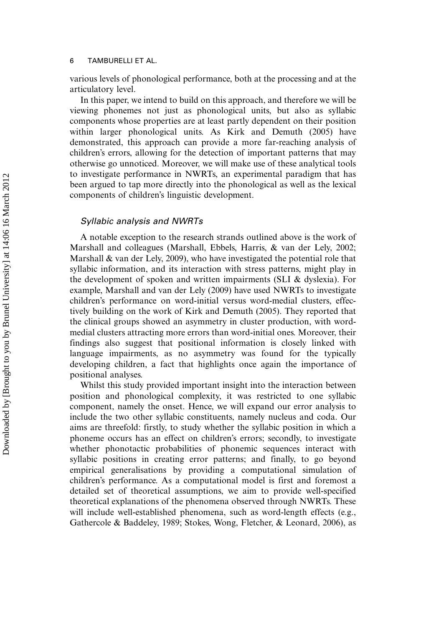various levels of phonological performance, both at the processing and at the articulatory level.

In this paper, we intend to build on this approach, and therefore we will be viewing phonemes not just as phonological units, but also as syllabic components whose properties are at least partly dependent on their position within larger phonological units. As Kirk and Demuth (2005) have demonstrated, this approach can provide a more far-reaching analysis of children's errors, allowing for the detection of important patterns that may otherwise go unnoticed. Moreover, we will make use of these analytical tools to investigate performance in NWRTs, an experimental paradigm that has been argued to tap more directly into the phonological as well as the lexical components of children's linguistic development.

#### Syllabic analysis and NWRTs

A notable exception to the research strands outlined above is the work of Marshall and colleagues (Marshall, Ebbels, Harris, & van der Lely, 2002; Marshall & van der Lely, 2009), who have investigated the potential role that syllabic information, and its interaction with stress patterns, might play in the development of spoken and written impairments (SLI & dyslexia). For example, Marshall and van der Lely (2009) have used NWRTs to investigate children's performance on word-initial versus word-medial clusters, effectively building on the work of Kirk and Demuth (2005). They reported that the clinical groups showed an asymmetry in cluster production, with wordmedial clusters attracting more errors than word-initial ones. Moreover, their findings also suggest that positional information is closely linked with language impairments, as no asymmetry was found for the typically developing children, a fact that highlights once again the importance of positional analyses.

Whilst this study provided important insight into the interaction between position and phonological complexity, it was restricted to one syllabic component, namely the onset. Hence, we will expand our error analysis to include the two other syllabic constituents, namely nucleus and coda. Our aims are threefold: firstly, to study whether the syllabic position in which a phoneme occurs has an effect on children's errors; secondly, to investigate whether phonotactic probabilities of phonemic sequences interact with syllabic positions in creating error patterns; and finally, to go beyond empirical generalisations by providing a computational simulation of children's performance. As a computational model is first and foremost a detailed set of theoretical assumptions, we aim to provide well-specified theoretical explanations of the phenomena observed through NWRTs. These will include well-established phenomena, such as word-length effects (e.g., Gathercole & Baddeley, 1989; Stokes, Wong, Fletcher, & Leonard, 2006), as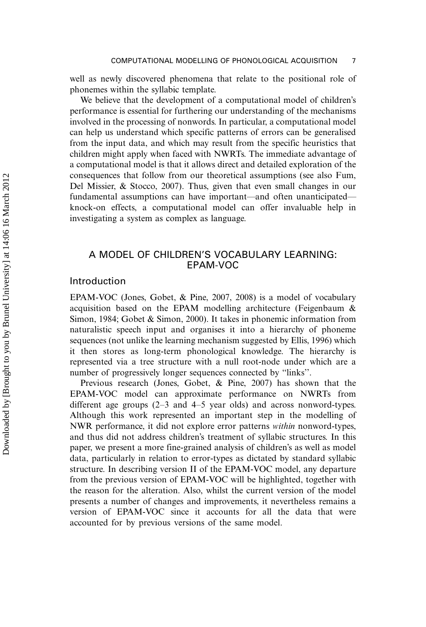well as newly discovered phenomena that relate to the positional role of phonemes within the syllabic template.

We believe that the development of a computational model of children's performance is essential for furthering our understanding of the mechanisms involved in the processing of nonwords. In particular, a computational model can help us understand which specific patterns of errors can be generalised from the input data, and which may result from the specific heuristics that children might apply when faced with NWRTs. The immediate advantage of a computational model is that it allows direct and detailed exploration of the consequences that follow from our theoretical assumptions (see also Fum, Del Missier, & Stocco, 2007). Thus, given that even small changes in our fundamental assumptions can have important—and often unanticipated knock-on effects, a computational model can offer invaluable help in investigating a system as complex as language.

# A MODEL OF CHILDREN'S VOCABULARY LEARNING: EPAM-VOC

# Introduction

EPAM-VOC (Jones, Gobet, & Pine, 2007, 2008) is a model of vocabulary acquisition based on the EPAM modelling architecture (Feigenbaum & Simon, 1984; Gobet & Simon, 2000). It takes in phonemic information from naturalistic speech input and organises it into a hierarchy of phoneme sequences (not unlike the learning mechanism suggested by Ellis, 1996) which it then stores as long-term phonological knowledge. The hierarchy is represented via a tree structure with a null root-node under which are a number of progressively longer sequences connected by ''links''.

Previous research (Jones, Gobet, & Pine, 2007) has shown that the EPAM-VOC model can approximate performance on NWRTs from different age groups  $(2-3$  and  $4-5$  year olds) and across nonword-types. Although this work represented an important step in the modelling of NWR performance, it did not explore error patterns within nonword-types, and thus did not address children's treatment of syllabic structures. In this paper, we present a more fine-grained analysis of children's as well as model data, particularly in relation to error-types as dictated by standard syllabic structure. In describing version II of the EPAM-VOC model, any departure from the previous version of EPAM-VOC will be highlighted, together with the reason for the alteration. Also, whilst the current version of the model presents a number of changes and improvements, it nevertheless remains a version of EPAM-VOC since it accounts for all the data that were accounted for by previous versions of the same model.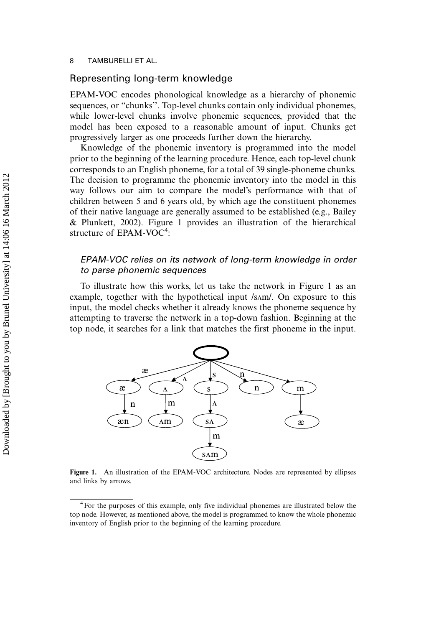# Representing long-term knowledge

EPAM-VOC encodes phonological knowledge as a hierarchy of phonemic sequences, or ''chunks''. Top-level chunks contain only individual phonemes, while lower-level chunks involve phonemic sequences, provided that the model has been exposed to a reasonable amount of input. Chunks get progressively larger as one proceeds further down the hierarchy.

Knowledge of the phonemic inventory is programmed into the model prior to the beginning of the learning procedure. Hence, each top-level chunk corresponds to an English phoneme, for a total of 39 single-phoneme chunks. The decision to programme the phonemic inventory into the model in this way follows our aim to compare the model's performance with that of children between 5 and 6 years old, by which age the constituent phonemes of their native language are generally assumed to be established (e.g., Bailey & Plunkett, 2002). Figure 1 provides an illustration of the hierarchical structure of EPAM-VOC<sup>4</sup>:

# EPAM-VOC relies on its network of long-term knowledge in order to parse phonemic sequences

To illustrate how this works, let us take the network in Figure 1 as an example, together with the hypothetical input /sAm/. On exposure to this input, the model checks whether it already knows the phoneme sequence by attempting to traverse the network in a top-down fashion. Beginning at the top node, it searches for a link that matches the first phoneme in the input.



Figure 1. An illustration of the EPAM-VOC architecture. Nodes are represented by ellipses and links by arrows.

<sup>&</sup>lt;sup>4</sup>For the purposes of this example, only five individual phonemes are illustrated below the top node. However, as mentioned above, the model is programmed to know the whole phonemic inventory of English prior to the beginning of the learning procedure.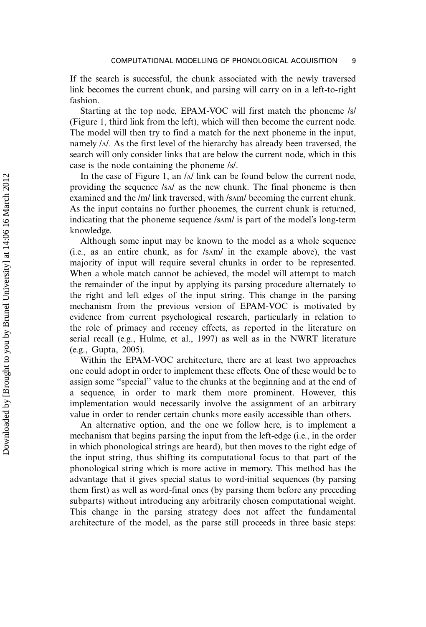If the search is successful, the chunk associated with the newly traversed link becomes the current chunk, and parsing will carry on in a left-to-right fashion.

Starting at the top node, EPAM-VOC will first match the phoneme /s/ (Figure 1, third link from the left), which will then become the current node. The model will then try to find a match for the next phoneme in the input, namely  $/\Lambda$ . As the first level of the hierarchy has already been traversed, the search will only consider links that are below the current node, which in this case is the node containing the phoneme /s/.

In the case of Figure 1, an  $\Delta/\Delta$  link can be found below the current node, providing the sequence  $/s\Lambda$  as the new chunk. The final phoneme is then examined and the /m/ link traversed, with /s $\Delta m$ / becoming the current chunk. As the input contains no further phonemes, the current chunk is returned, indicating that the phoneme sequence /sAm/ is part of the model's long-term knowledge.

Although some input may be known to the model as a whole sequence  $(i.e., as an entire chunk, as for /s\land m/ in the example above)$ , the vast majority of input will require several chunks in order to be represented. When a whole match cannot be achieved, the model will attempt to match the remainder of the input by applying its parsing procedure alternately to the right and left edges of the input string. This change in the parsing mechanism from the previous version of EPAM-VOC is motivated by evidence from current psychological research, particularly in relation to the role of primacy and recency effects, as reported in the literature on serial recall (e.g., Hulme, et al., 1997) as well as in the NWRT literature (e.g., Gupta, 2005).

Within the EPAM-VOC architecture, there are at least two approaches one could adopt in order to implement these effects. One of these would be to assign some ''special'' value to the chunks at the beginning and at the end of a sequence, in order to mark them more prominent. However, this implementation would necessarily involve the assignment of an arbitrary value in order to render certain chunks more easily accessible than others.

An alternative option, and the one we follow here, is to implement a mechanism that begins parsing the input from the left-edge (i.e., in the order in which phonological strings are heard), but then moves to the right edge of the input string, thus shifting its computational focus to that part of the phonological string which is more active in memory. This method has the advantage that it gives special status to word-initial sequences (by parsing them first) as well as word-final ones (by parsing them before any preceding subparts) without introducing any arbitrarily chosen computational weight. This change in the parsing strategy does not affect the fundamental architecture of the model, as the parse still proceeds in three basic steps: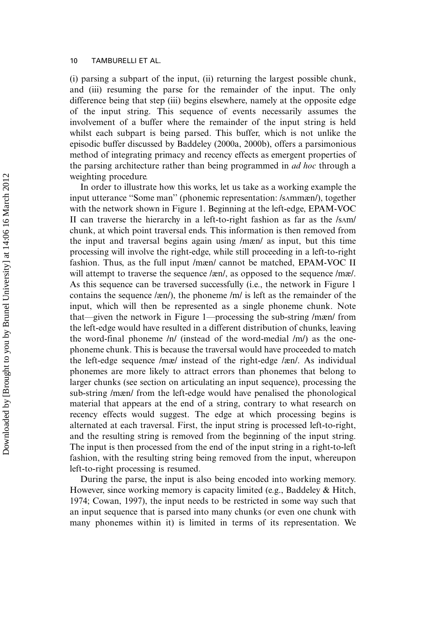(i) parsing a subpart of the input, (ii) returning the largest possible chunk, and (iii) resuming the parse for the remainder of the input. The only difference being that step (iii) begins elsewhere, namely at the opposite edge of the input string. This sequence of events necessarily assumes the involvement of a buffer where the remainder of the input string is held whilst each subpart is being parsed. This buffer, which is not unlike the episodic buffer discussed by Baddeley (2000a, 2000b), offers a parsimonious method of integrating primacy and recency effects as emergent properties of the parsing architecture rather than being programmed in *ad hoc* through a weighting procedure.

In order to illustrate how this works, let us take as a working example the input utterance "Some man" (phonemic representation: /sAmmæn/), together with the network shown in Figure 1. Beginning at the left-edge, EPAM-VOC II can traverse the hierarchy in a left-to-right fashion as far as the  $/s\text{nm}$ chunk, at which point traversal ends. This information is then removed from the input and traversal begins again using /mæn/ as input, but this time processing will involve the right-edge, while still proceeding in a left-to-right fashion. Thus, as the full input /mæn/ cannot be matched, EPAM-VOC II will attempt to traverse the sequence /æn/, as opposed to the sequence /mæ/. As this sequence can be traversed successfully (i.e., the network in Figure 1 contains the sequence /æn/), the phoneme /m/ is left as the remainder of the input, which will then be represented as a single phoneme chunk. Note that—given the network in Figure 1—processing the sub-string /mæn/ from the left-edge would have resulted in a different distribution of chunks, leaving the word-final phoneme /n/ (instead of the word-medial /m/) as the onephoneme chunk. This is because the traversal would have proceeded to match the left-edge sequence /mæ/ instead of the right-edge /æn/. As individual phonemes are more likely to attract errors than phonemes that belong to larger chunks (see section on articulating an input sequence), processing the sub-string /mæn/ from the left-edge would have penalised the phonological material that appears at the end of a string, contrary to what research on recency effects would suggest. The edge at which processing begins is alternated at each traversal. First, the input string is processed left-to-right, and the resulting string is removed from the beginning of the input string. The input is then processed from the end of the input string in a right-to-left fashion, with the resulting string being removed from the input, whereupon left-to-right processing is resumed.

During the parse, the input is also being encoded into working memory. However, since working memory is capacity limited (e.g., Baddeley & Hitch, 1974; Cowan, 1997), the input needs to be restricted in some way such that an input sequence that is parsed into many chunks (or even one chunk with many phonemes within it) is limited in terms of its representation. We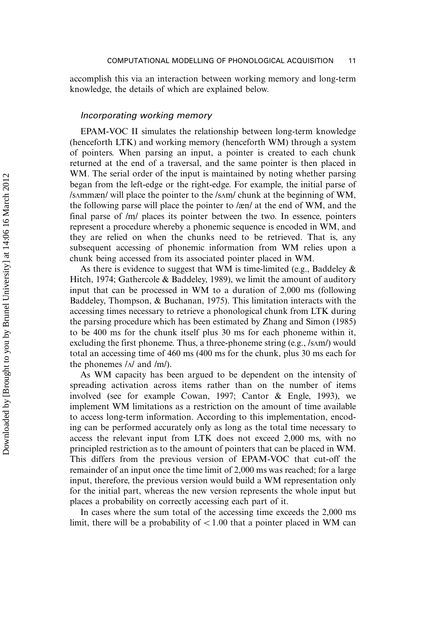accomplish this via an interaction between working memory and long-term knowledge, the details of which are explained below.

### Incorporating working memory

EPAM-VOC II simulates the relationship between long-term knowledge (henceforth LTK) and working memory (henceforth WM) through a system of pointers. When parsing an input, a pointer is created to each chunk returned at the end of a traversal, and the same pointer is then placed in WM. The serial order of the input is maintained by noting whether parsing began from the left-edge or the right-edge. For example, the initial parse of /sAmmæn/ will place the pointer to the /sAm/ chunk at the beginning of WM, the following parse will place the pointer to /æn/ at the end of WM, and the final parse of /m/ places its pointer between the two. In essence, pointers represent a procedure whereby a phonemic sequence is encoded in WM, and they are relied on when the chunks need to be retrieved. That is, any subsequent accessing of phonemic information from WM relies upon a chunk being accessed from its associated pointer placed in WM.

As there is evidence to suggest that WM is time-limited (e.g., Baddeley & Hitch, 1974; Gathercole & Baddeley, 1989), we limit the amount of auditory input that can be processed in WM to a duration of 2,000 ms (following Baddeley, Thompson, & Buchanan, 1975). This limitation interacts with the accessing times necessary to retrieve a phonological chunk from LTK during the parsing procedure which has been estimated by Zhang and Simon (1985) to be 400 ms for the chunk itself plus 30 ms for each phoneme within it, excluding the first phoneme. Thus, a three-phoneme string  $(e.g., /s\land m)$  would total an accessing time of 460 ms (400 ms for the chunk, plus 30 ms each for the phonemes  $/\Lambda$  and  $/m$ ).

As WM capacity has been argued to be dependent on the intensity of spreading activation across items rather than on the number of items involved (see for example Cowan, 1997; Cantor & Engle, 1993), we implement WM limitations as a restriction on the amount of time available to access long-term information. According to this implementation, encoding can be performed accurately only as long as the total time necessary to access the relevant input from LTK does not exceed 2,000 ms, with no principled restriction as to the amount of pointers that can be placed in WM. This differs from the previous version of EPAM-VOC that cut-off the remainder of an input once the time limit of 2,000 ms was reached; for a large input, therefore, the previous version would build a WM representation only for the initial part, whereas the new version represents the whole input but places a probability on correctly accessing each part of it.

In cases where the sum total of the accessing time exceeds the 2,000 ms limit, there will be a probability of  $< 1.00$  that a pointer placed in WM can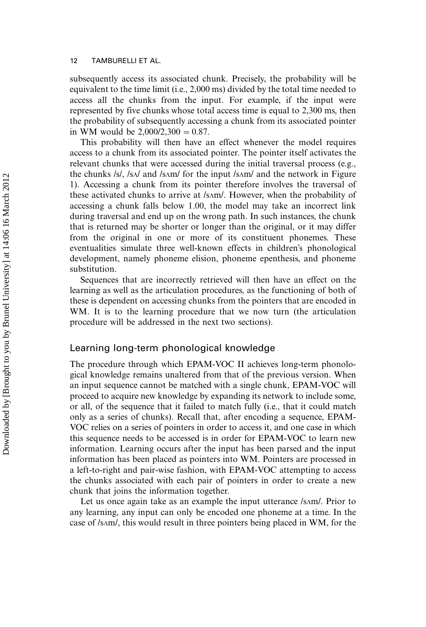subsequently access its associated chunk. Precisely, the probability will be equivalent to the time limit (i.e., 2,000 ms) divided by the total time needed to access all the chunks from the input. For example, if the input were represented by five chunks whose total access time is equal to 2,300 ms, then the probability of subsequently accessing a chunk from its associated pointer in WM would be  $2,000/2,300 = 0.87$ .

This probability will then have an effect whenever the model requires access to a chunk from its associated pointer. The pointer itself activates the relevant chunks that were accessed during the initial traversal process (e.g., the chunks  $/s/$ ,  $/s/$  and  $/s<sub>1</sub>$  and for the input  $/s<sub>1</sub>$  and the network in Figure 1). Accessing a chunk from its pointer therefore involves the traversal of these activated chunks to arrive at /sAm/. However, when the probability of accessing a chunk falls below 1.00, the model may take an incorrect link during traversal and end up on the wrong path. In such instances, the chunk that is returned may be shorter or longer than the original, or it may differ from the original in one or more of its constituent phonemes. These eventualities simulate three well-known effects in children's phonological development, namely phoneme elision, phoneme epenthesis, and phoneme substitution.

Sequences that are incorrectly retrieved will then have an effect on the learning as well as the articulation procedures, as the functioning of both of these is dependent on accessing chunks from the pointers that are encoded in WM. It is to the learning procedure that we now turn (the articulation procedure will be addressed in the next two sections).

# Learning long-term phonological knowledge

The procedure through which EPAM-VOC II achieves long-term phonological knowledge remains unaltered from that of the previous version. When an input sequence cannot be matched with a single chunk, EPAM-VOC will proceed to acquire new knowledge by expanding its network to include some, or all, of the sequence that it failed to match fully (i.e., that it could match only as a series of chunks). Recall that, after encoding a sequence, EPAM-VOC relies on a series of pointers in order to access it, and one case in which this sequence needs to be accessed is in order for EPAM-VOC to learn new information. Learning occurs after the input has been parsed and the input information has been placed as pointers into WM. Pointers are processed in a left-to-right and pair-wise fashion, with EPAM-VOC attempting to access the chunks associated with each pair of pointers in order to create a new chunk that joins the information together.

Let us once again take as an example the input utterance /sAm/. Prior to any learning, any input can only be encoded one phoneme at a time. In the case of /sAm/, this would result in three pointers being placed in WM, for the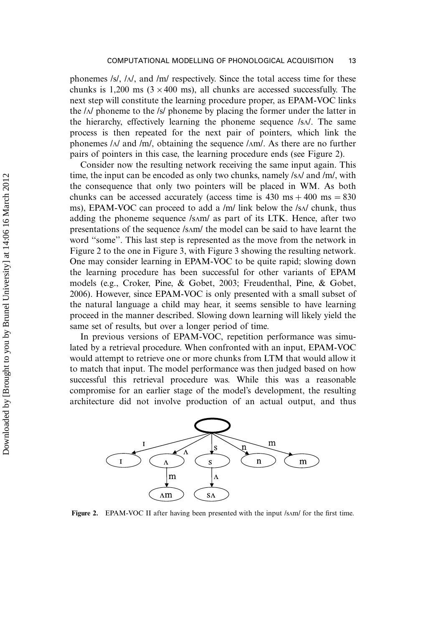phonemes /s/,  $/\sqrt{N}$ , and /m/ respectively. Since the total access time for these chunks is 1,200 ms  $(3 \times 400 \text{ ms})$ , all chunks are accessed successfully. The next step will constitute the learning procedure proper, as EPAM-VOC links the  $\Lambda$  phoneme to the /s/ phoneme by placing the former under the latter in the hierarchy, effectively learning the phoneme sequence  $/s\Lambda$ . The same process is then repeated for the next pair of pointers, which link the phonemes  $/\Lambda$  and  $/\text{m}$ , obtaining the sequence  $/\text{m}$ . As there are no further pairs of pointers in this case, the learning procedure ends (see Figure 2).

Consider now the resulting network receiving the same input again. This time, the input can be encoded as only two chunks, namely  $/s\Lambda$  and  $/m$ , with the consequence that only two pointers will be placed in WM. As both chunks can be accessed accurately (access time is  $430 \text{ ms} + 400 \text{ ms} = 830$ ms), EPAM-VOC can proceed to add a /m/ link below the /s $\Lambda$ / chunk, thus adding the phoneme sequence /sAm/ as part of its LTK. Hence, after two presentations of the sequence /sAm/ the model can be said to have learnt the word ''some''. This last step is represented as the move from the network in Figure 2 to the one in Figure 3, with Figure 3 showing the resulting network. One may consider learning in EPAM-VOC to be quite rapid; slowing down the learning procedure has been successful for other variants of EPAM models (e.g., Croker, Pine, & Gobet, 2003; Freudenthal, Pine, & Gobet, 2006). However, since EPAM-VOC is only presented with a small subset of the natural language a child may hear, it seems sensible to have learning proceed in the manner described. Slowing down learning will likely yield the same set of results, but over a longer period of time.

In previous versions of EPAM-VOC, repetition performance was simulated by a retrieval procedure. When confronted with an input, EPAM-VOC would attempt to retrieve one or more chunks from LTM that would allow it to match that input. The model performance was then judged based on how successful this retrieval procedure was. While this was a reasonable compromise for an earlier stage of the model's development, the resulting architecture did not involve production of an actual output, and thus



Figure 2. EPAM-VOC II after having been presented with the input /sAm/ for the first time.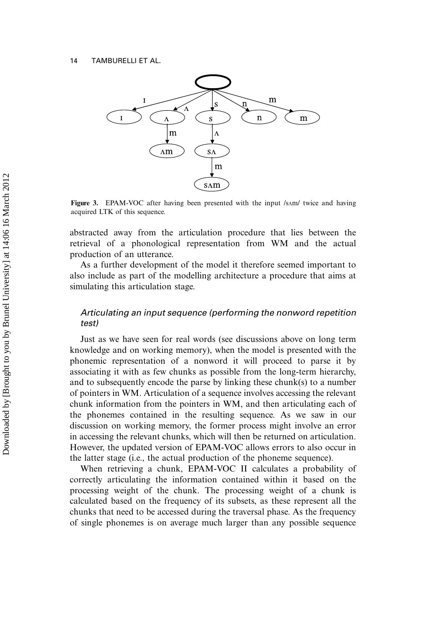

Figure 3. EPAM-VOC after having been presented with the input /sAm/ twice and having acquired LTK of this sequence.

abstracted away from the articulation procedure that lies between the retrieval of a phonological representation from WM and the actual production of an utterance.

As a further development of the model it therefore seemed important to also include as part of the modelling architecture a procedure that aims at simulating this articulation stage.

# Articulating an input sequence (performing the nonword repetition test)

Just as we have seen for real words (see discussions above on long term knowledge and on working memory), when the model is presented with the phonemic representation of a nonword it will proceed to parse it by associating it with as few chunks as possible from the long-term hierarchy, and to subsequently encode the parse by linking these chunk(s) to a number of pointers in WM. Articulation of a sequence involves accessing the relevant chunk information from the pointers in WM, and then articulating each of the phonemes contained in the resulting sequence. As we saw in our discussion on working memory, the former process might involve an error in accessing the relevant chunks, which will then be returned on articulation. However, the updated version of EPAM-VOC allows errors to also occur in the latter stage (i.e., the actual production of the phoneme sequence).

When retrieving a chunk, EPAM-VOC II calculates a probability of correctly articulating the information contained within it based on the processing weight of the chunk. The processing weight of a chunk is calculated based on the frequency of its subsets, as these represent all the chunks that need to be accessed during the traversal phase. As the frequency of single phonemes is on average much larger than any possible sequence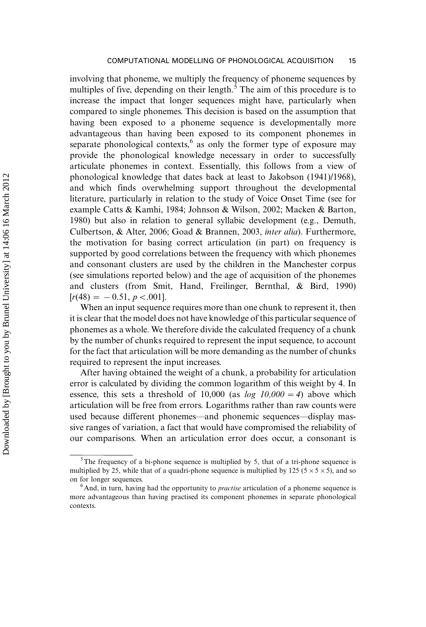involving that phoneme, we multiply the frequency of phoneme sequences by multiples of five, depending on their length. $5$  The aim of this procedure is to increase the impact that longer sequences might have, particularly when compared to single phonemes. This decision is based on the assumption that having been exposed to a phoneme sequence is developmentally more advantageous than having been exposed to its component phonemes in separate phonological contexts,<sup>6</sup> as only the former type of exposure may provide the phonological knowledge necessary in order to successfully articulate phonemes in context. Essentially, this follows from a view of phonological knowledge that dates back at least to Jakobson (1941)/1968), and which finds overwhelming support throughout the developmental literature, particularly in relation to the study of Voice Onset Time (see for example Catts & Kamhi, 1984; Johnson & Wilson, 2002; Macken & Barton, 1980) but also in relation to general syllabic development (e.g., Demuth, Culbertson, & Alter, 2006; Goad & Brannen, 2003, inter alia). Furthermore, the motivation for basing correct articulation (in part) on frequency is supported by good correlations between the frequency with which phonemes and consonant clusters are used by the children in the Manchester corpus (see simulations reported below) and the age of acquisition of the phonemes and clusters (from Smit, Hand, Freilinger, Bernthal, & Bird, 1990)  $[r(48) = -0.51, p < 0.01]$ .

When an input sequence requires more than one chunk to represent it, then it is clear that the model does not have knowledge of this particular sequence of phonemes as a whole. We therefore divide the calculated frequency of a chunk by the number of chunks required to represent the input sequence, to account for the fact that articulation will be more demanding as the number of chunks required to represent the input increases.

After having obtained the weight of a chunk, a probability for articulation error is calculated by dividing the common logarithm of this weight by 4. In essence, this sets a threshold of 10,000 (as  $log 10,000 = 4$ ) above which articulation will be free from errors. Logarithms rather than raw counts were used because different phonemes—and phonemic sequences—display massive ranges of variation, a fact that would have compromised the reliability of our comparisons. When an articulation error does occur, a consonant is

 $5$ The frequency of a bi-phone sequence is multiplied by 5, that of a tri-phone sequence is multiplied by 25, while that of a quadri-phone sequence is multiplied by 125 ( $5 \times 5 \times 5$ ), and so on for longer sequences.

 $6$ And, in turn, having had the opportunity to *practise* articulation of a phoneme sequence is more advantageous than having practised its component phonemes in separate phonological contexts.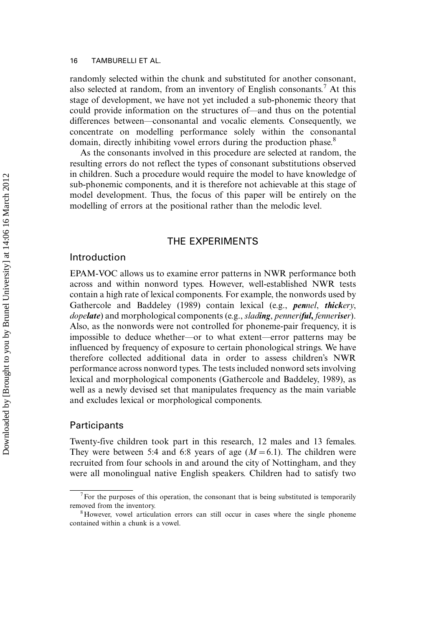randomly selected within the chunk and substituted for another consonant, also selected at random, from an inventory of English consonants.<sup>7</sup> At this stage of development, we have not yet included a sub-phonemic theory that could provide information on the structures of—and thus on the potential differences between—consonantal and vocalic elements. Consequently, we concentrate on modelling performance solely within the consonantal domain, directly inhibiting vowel errors during the production phase.<sup>8</sup>

As the consonants involved in this procedure are selected at random, the resulting errors do not reflect the types of consonant substitutions observed in children. Such a procedure would require the model to have knowledge of sub-phonemic components, and it is therefore not achievable at this stage of model development. Thus, the focus of this paper will be entirely on the modelling of errors at the positional rather than the melodic level.

# THE EXPERIMENTS

# Introduction

EPAM-VOC allows us to examine error patterns in NWR performance both across and within nonword types. However, well-established NWR tests contain a high rate of lexical components. For example, the nonwords used by Gathercole and Baddeley (1989) contain lexical (e.g., *pennel*, thickery, dopelate) and morphological components (e.g., slading, penneriful, fenneriser). Also, as the nonwords were not controlled for phoneme-pair frequency, it is impossible to deduce whether—or to what extent—error patterns may be influenced by frequency of exposure to certain phonological strings. We have therefore collected additional data in order to assess children's NWR performance across nonword types. The tests included nonword sets involving lexical and morphological components (Gathercole and Baddeley, 1989), as well as a newly devised set that manipulates frequency as the main variable and excludes lexical or morphological components.

# **Participants**

Twenty-five children took part in this research, 12 males and 13 females. They were between 5:4 and 6:8 years of age  $(M=6.1)$ . The children were recruited from four schools in and around the city of Nottingham, and they were all monolingual native English speakers. Children had to satisfy two

 $7$  For the purposes of this operation, the consonant that is being substituted is temporarily removed from the inventory.<br><sup>8</sup>However, vowel articulation errors can still occur in cases where the single phoneme

contained within a chunk is a vowel.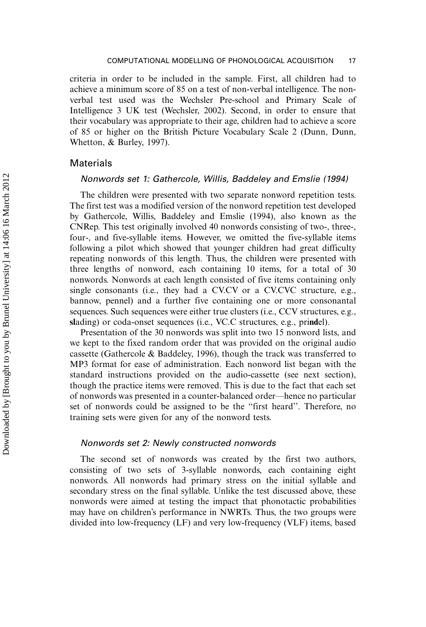criteria in order to be included in the sample. First, all children had to achieve a minimum score of 85 on a test of non-verbal intelligence. The nonverbal test used was the Wechsler Pre-school and Primary Scale of Intelligence 3 UK test (Wechsler, 2002). Second, in order to ensure that their vocabulary was appropriate to their age, children had to achieve a score of 85 or higher on the British Picture Vocabulary Scale 2 (Dunn, Dunn, Whetton, & Burley, 1997).

### Materials

### Nonwords set 1: Gathercole, Willis, Baddeley and Emslie (1994)

The children were presented with two separate nonword repetition tests. The first test was a modified version of the nonword repetition test developed by Gathercole, Willis, Baddeley and Emslie (1994), also known as the CNRep. This test originally involved 40 nonwords consisting of two-, three-, four-, and five-syllable items. However, we omitted the five-syllable items following a pilot which showed that younger children had great difficulty repeating nonwords of this length. Thus, the children were presented with three lengths of nonword, each containing 10 items, for a total of 30 nonwords. Nonwords at each length consisted of five items containing only single consonants (i.e., they had a CV.CV or a CV.CVC structure, e.g., bannow, pennel) and a further five containing one or more consonantal sequences. Such sequences were either true clusters (i.e., CCV structures, e.g., slading) or coda-onset sequences (i.e., VC.C structures, e.g., prindel).

Presentation of the 30 nonwords was split into two 15 nonword lists, and we kept to the fixed random order that was provided on the original audio cassette (Gathercole & Baddeley, 1996), though the track was transferred to MP3 format for ease of administration. Each nonword list began with the standard instructions provided on the audio-cassette (see next section), though the practice items were removed. This is due to the fact that each set of nonwords was presented in a counter-balanced order\*hence no particular set of nonwords could be assigned to be the ''first heard''. Therefore, no training sets were given for any of the nonword tests.

#### Nonwords set 2: Newly constructed nonwords

The second set of nonwords was created by the first two authors, consisting of two sets of 3-syllable nonwords, each containing eight nonwords. All nonwords had primary stress on the initial syllable and secondary stress on the final syllable. Unlike the test discussed above, these nonwords were aimed at testing the impact that phonotactic probabilities may have on children's performance in NWRTs. Thus, the two groups were divided into low-frequency (LF) and very low-frequency (VLF) items, based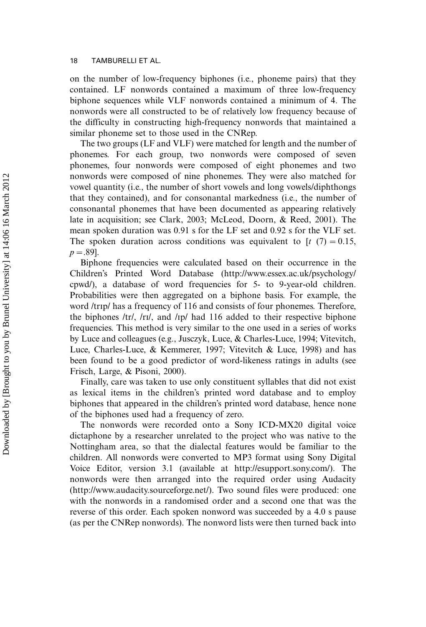on the number of low-frequency biphones (i.e., phoneme pairs) that they contained. LF nonwords contained a maximum of three low-frequency biphone sequences while VLF nonwords contained a minimum of 4. The nonwords were all constructed to be of relatively low frequency because of the difficulty in constructing high-frequency nonwords that maintained a similar phoneme set to those used in the CNRep.

The two groups (LF and VLF) were matched for length and the number of phonemes. For each group, two nonwords were composed of seven phonemes, four nonwords were composed of eight phonemes and two nonwords were composed of nine phonemes. They were also matched for vowel quantity (i.e., the number of short vowels and long vowels/diphthongs that they contained), and for consonantal markedness (i.e., the number of consonantal phonemes that have been documented as appearing relatively late in acquisition; see Clark, 2003; McLeod, Doorn, & Reed, 2001). The mean spoken duration was 0.91 s for the LF set and 0.92 s for the VLF set. The spoken duration across conditions was equivalent to  $[t (7) = 0.15,$  $p=.89$ ].

Biphone frequencies were calculated based on their occurrence in the Children's Printed Word Database ([http://www.essex.ac.uk/psychology/](http://www.essex.ac.uk/psychology/cpwd/) [cpwd/\)](http://www.essex.ac.uk/psychology/cpwd/), a database of word frequencies for 5- to 9-year-old children. Probabilities were then aggregated on a biphone basis. For example, the word /trip/ has a frequency of 116 and consists of four phonemes. Therefore, the biphones /tr/, /rI/, and /Ip/ had 116 added to their respective biphone frequencies. This method is very similar to the one used in a series of works by Luce and colleagues (e.g., Jusczyk, Luce, & Charles-Luce, 1994; Vitevitch, Luce, Charles-Luce, & Kemmerer, 1997; Vitevitch & Luce, 1998) and has been found to be a good predictor of word-likeness ratings in adults (see Frisch, Large, & Pisoni, 2000).

Finally, care was taken to use only constituent syllables that did not exist as lexical items in the children's printed word database and to employ biphones that appeared in the children's printed word database, hence none of the biphones used had a frequency of zero.

The nonwords were recorded onto a Sony ICD-MX20 digital voice dictaphone by a researcher unrelated to the project who was native to the Nottingham area, so that the dialectal features would be familiar to the children. All nonwords were converted to MP3 format using Sony Digital Voice Editor, version 3.1 (available at<http://esupport.sony.com/>). The nonwords were then arranged into the required order using Audacity [\(http://www.audacity.sourceforge.net/](http://www.audacity.sourceforge.net/)). Two sound files were produced: one with the nonwords in a randomised order and a second one that was the reverse of this order. Each spoken nonword was succeeded by a 4.0 s pause (as per the CNRep nonwords). The nonword lists were then turned back into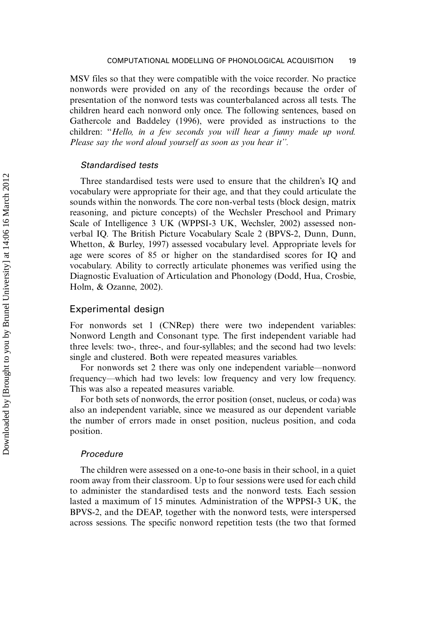MSV files so that they were compatible with the voice recorder. No practice nonwords were provided on any of the recordings because the order of presentation of the nonword tests was counterbalanced across all tests. The children heard each nonword only once. The following sentences, based on Gathercole and Baddeley (1996), were provided as instructions to the children: ''Hello, in a few seconds you will hear a funny made up word. Please say the word aloud yourself as soon as you hear it".

### Standardised tests

Three standardised tests were used to ensure that the children's IQ and vocabulary were appropriate for their age, and that they could articulate the sounds within the nonwords. The core non-verbal tests (block design, matrix reasoning, and picture concepts) of the Wechsler Preschool and Primary Scale of Intelligence 3 UK (WPPSI-3 UK, Wechsler, 2002) assessed nonverbal IQ. The British Picture Vocabulary Scale 2 (BPVS-2, Dunn, Dunn, Whetton, & Burley, 1997) assessed vocabulary level. Appropriate levels for age were scores of 85 or higher on the standardised scores for IQ and vocabulary. Ability to correctly articulate phonemes was verified using the Diagnostic Evaluation of Articulation and Phonology (Dodd, Hua, Crosbie, Holm, & Ozanne, 2002).

# Experimental design

For nonwords set 1 (CNRep) there were two independent variables: Nonword Length and Consonant type. The first independent variable had three levels: two-, three-, and four-syllables; and the second had two levels: single and clustered. Both were repeated measures variables.

For nonwords set 2 there was only one independent variable—nonword frequency\*which had two levels: low frequency and very low frequency. This was also a repeated measures variable.

For both sets of nonwords, the error position (onset, nucleus, or coda) was also an independent variable, since we measured as our dependent variable the number of errors made in onset position, nucleus position, and coda position.

#### Procedure

The children were assessed on a one-to-one basis in their school, in a quiet room away from their classroom. Up to four sessions were used for each child to administer the standardised tests and the nonword tests. Each session lasted a maximum of 15 minutes. Administration of the WPPSI-3 UK, the BPVS-2, and the DEAP, together with the nonword tests, were interspersed across sessions. The specific nonword repetition tests (the two that formed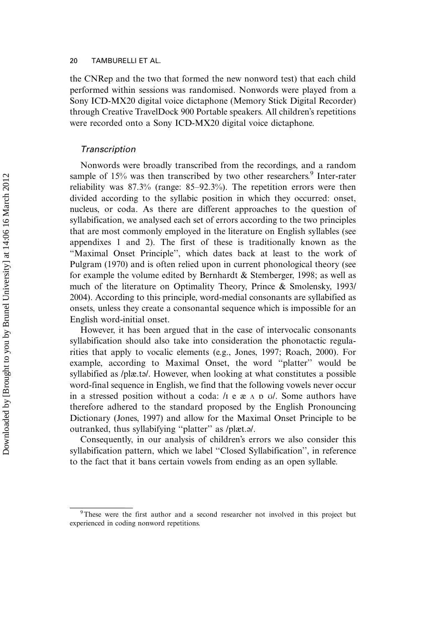the CNRep and the two that formed the new nonword test) that each child performed within sessions was randomised. Nonwords were played from a Sony ICD-MX20 digital voice dictaphone (Memory Stick Digital Recorder) through Creative TravelDock 900 Portable speakers. All children's repetitions were recorded onto a Sony ICD-MX20 digital voice dictaphone.

## **Transcription**

Nonwords were broadly transcribed from the recordings, and a random sample of  $15\%$  was then transcribed by two other researchers.<sup>9</sup> Inter-rater reliability was  $87.3\%$  (range:  $85-92.3\%$ ). The repetition errors were then divided according to the syllabic position in which they occurred: onset, nucleus, or coda. As there are different approaches to the question of syllabification, we analysed each set of errors according to the two principles that are most commonly employed in the literature on English syllables (see appendixes 1 and 2). The first of these is traditionally known as the ''Maximal Onset Principle'', which dates back at least to the work of Pulgram (1970) and is often relied upon in current phonological theory (see for example the volume edited by Bernhardt & Stemberger, 1998; as well as much of the literature on Optimality Theory, Prince & Smolensky, 1993/ 2004). According to this principle, word-medial consonants are syllabified as onsets, unless they create a consonantal sequence which is impossible for an English word-initial onset.

However, it has been argued that in the case of intervocalic consonants syllabification should also take into consideration the phonotactic regularities that apply to vocalic elements (e.g., Jones, 1997; Roach, 2000). For example, according to Maximal Onset, the word ''platter'' would be syllabified as /plæ.ta/. However, when looking at what constitutes a possible word-final sequence in English, we find that the following vowels never occur in a stressed position without a coda:  $\lambda$  i e  $\alpha \wedge \beta$  is  $\lambda$ . Some authors have therefore adhered to the standard proposed by the English Pronouncing Dictionary (Jones, 1997) and allow for the Maximal Onset Principle to be outranked, thus syllabifying ''platter'' as /plæt.3/.

Consequently, in our analysis of children's errors we also consider this syllabification pattern, which we label ''Closed Syllabification'', in reference to the fact that it bans certain vowels from ending as an open syllable.

<sup>&</sup>lt;sup>9</sup>These were the first author and a second researcher not involved in this project but experienced in coding nonword repetitions.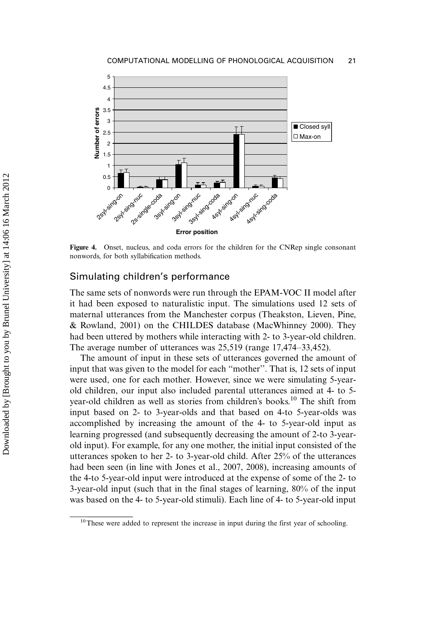

Figure 4. Onset, nucleus, and coda errors for the children for the CNRep single consonant nonwords, for both syllabification methods.

# Simulating children's performance

The same sets of nonwords were run through the EPAM-VOC II model after it had been exposed to naturalistic input. The simulations used 12 sets of maternal utterances from the Manchester corpus (Theakston, Lieven, Pine, & Rowland, 2001) on the CHILDES database (MacWhinney 2000). They had been uttered by mothers while interacting with 2- to 3-year-old children. The average number of utterances was  $25,519$  (range  $17,474-33,452$ ).

The amount of input in these sets of utterances governed the amount of input that was given to the model for each ''mother''. That is, 12 sets of input were used, one for each mother. However, since we were simulating 5-yearold children, our input also included parental utterances aimed at 4- to 5 year-old children as well as stories from children's books.<sup>10</sup> The shift from input based on 2- to 3-year-olds and that based on 4-to 5-year-olds was accomplished by increasing the amount of the 4- to 5-year-old input as learning progressed (and subsequently decreasing the amount of 2-to 3-yearold input). For example, for any one mother, the initial input consisted of the utterances spoken to her 2- to 3-year-old child. After 25% of the utterances had been seen (in line with Jones et al., 2007, 2008), increasing amounts of the 4-to 5-year-old input were introduced at the expense of some of the 2- to 3-year-old input (such that in the final stages of learning, 80% of the input was based on the 4- to 5-year-old stimuli). Each line of 4- to 5-year-old input

 $10$ These were added to represent the increase in input during the first year of schooling.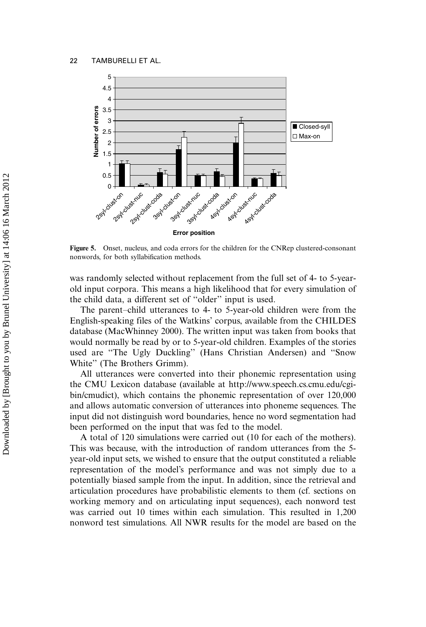

Figure 5. Onset, nucleus, and coda errors for the children for the CNRep clustered-consonant nonwords, for both syllabification methods.

was randomly selected without replacement from the full set of 4- to 5-yearold input corpora. This means a high likelihood that for every simulation of the child data, a different set of ''older'' input is used.

The parent-child utterances to 4- to 5-year-old children were from the English-speaking files of the Watkins' corpus, available from the CHILDES database (MacWhinney 2000). The written input was taken from books that would normally be read by or to 5-year-old children. Examples of the stories used are ''The Ugly Duckling'' (Hans Christian Andersen) and ''Snow White'' (The Brothers Grimm).

All utterances were converted into their phonemic representation using the CMU Lexicon database (available at [http://www.speech.cs.cmu.edu/cgi](http://www.speech.cs.cmu.edu/cgi-bin/cmudict)[bin/cmudict](http://www.speech.cs.cmu.edu/cgi-bin/cmudict)), which contains the phonemic representation of over 120,000 and allows automatic conversion of utterances into phoneme sequences. The input did not distinguish word boundaries, hence no word segmentation had been performed on the input that was fed to the model.

A total of 120 simulations were carried out (10 for each of the mothers). This was because, with the introduction of random utterances from the 5 year-old input sets, we wished to ensure that the output constituted a reliable representation of the model's performance and was not simply due to a potentially biased sample from the input. In addition, since the retrieval and articulation procedures have probabilistic elements to them (cf. sections on working memory and on articulating input sequences), each nonword test was carried out 10 times within each simulation. This resulted in 1,200 nonword test simulations. All NWR results for the model are based on the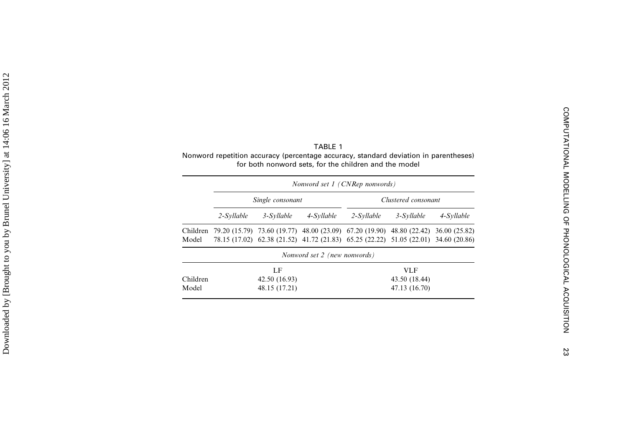TABLE 1 Nonword repetition accuracy (percentage accuracy, standard deviation in parentheses) for both nonword sets, for the children and the model

|          | Nonword set 1 (CNRep nonwords) |               |                                                                                     |                     |               |            |  |
|----------|--------------------------------|---------------|-------------------------------------------------------------------------------------|---------------------|---------------|------------|--|
|          | Single consonant               |               |                                                                                     | Clustered consonant |               |            |  |
|          | 2-Syllable                     | 3-Syllable    | 4-Syllable                                                                          | 2-Syllable          | 3-Syllable    | 4-Syllable |  |
| Children |                                |               | 79.20 (15.79) 73.60 (19.77) 48.00 (23.09) 67.20 (19.90) 48.80 (22.42) 36.00 (25.82) |                     |               |            |  |
| Model    |                                |               | 78.15 (17.02) 62.38 (21.52) 41.72 (21.83) 65.25 (22.22) 51.05 (22.01) 34.60 (20.86) |                     |               |            |  |
|          |                                |               | Nonword set 2 (new nonwords)                                                        |                     |               |            |  |
|          |                                | LF            |                                                                                     |                     | VLF           |            |  |
| Children |                                | 42.50 (16.93) |                                                                                     |                     | 43.50 (18.44) |            |  |
| Model    | 48.15 (17.21)                  |               |                                                                                     | 47.13 (16.70)       |               |            |  |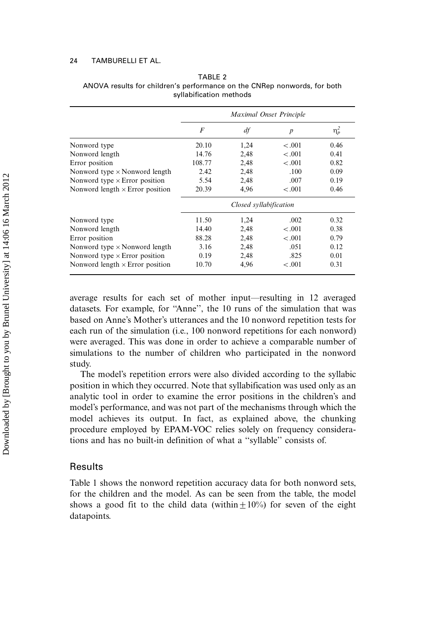|                                        | Maximal Onset Principle |      |                  |            |
|----------------------------------------|-------------------------|------|------------------|------------|
|                                        | $\overline{F}$          | df   | $\boldsymbol{p}$ | $\eta_p^2$ |
| Nonword type                           | 20.10                   | 1,24 | $-.001$          | 0.46       |
| Nonword length                         | 14.76                   | 2,48 | $-.001$          | 0.41       |
| Error position                         | 108.77                  | 2,48 | $-.001$          | 0.82       |
| Nonword type $\times$ Nonword length   | 2.42                    | 2,48 | .100             | 0.09       |
| Nonword type $\times$ Error position   | 5.54                    | 2,48 | .007             | 0.19       |
| Nonword length $\times$ Error position | 20.39                   | 4,96 | $-.001$          | 0.46       |
|                                        | Closed syllabification  |      |                  |            |
| Nonword type                           | 11.50                   | 1,24 | .002             | 0.32       |
| Nonword length                         | 14.40                   | 2,48 | $-.001$          | 0.38       |
| Error position                         | 88.28                   | 2,48 | $-.001$          | 0.79       |
| Nonword type $\times$ Nonword length   | 3.16                    | 2,48 | .051             | 0.12       |
| Nonword type $\times$ Error position   | 0.19                    | 2,48 | .825             | 0.01       |
| Nonword length $\times$ Error position | 10.70                   | 4,96 | $-.001$          | 0.31       |

TABLE 2 ANOVA results for children's performance on the CNRep nonwords, for both syllabification methods

average results for each set of mother input—resulting in 12 averaged datasets. For example, for ''Anne'', the 10 runs of the simulation that was based on Anne's Mother's utterances and the 10 nonword repetition tests for each run of the simulation (i.e., 100 nonword repetitions for each nonword) were averaged. This was done in order to achieve a comparable number of simulations to the number of children who participated in the nonword study.

The model's repetition errors were also divided according to the syllabic position in which they occurred. Note that syllabification was used only as an analytic tool in order to examine the error positions in the children's and model's performance, and was not part of the mechanisms through which the model achieves its output. In fact, as explained above, the chunking procedure employed by EPAM-VOC relies solely on frequency considerations and has no built-in definition of what a ''syllable'' consists of.

# Results

Table 1 shows the nonword repetition accuracy data for both nonword sets, for the children and the model. As can be seen from the table, the model shows a good fit to the child data (within $\pm 10\%$ ) for seven of the eight datapoints.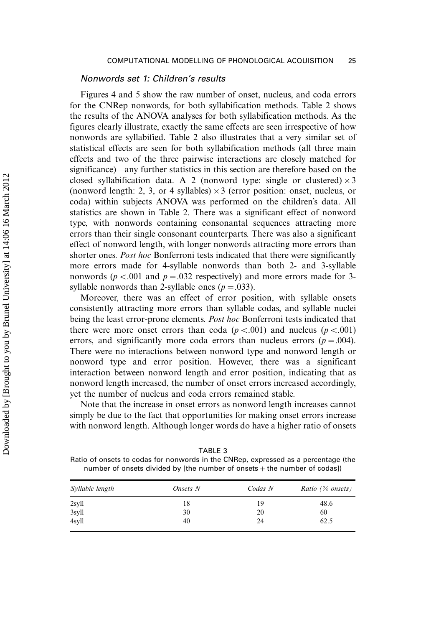## Nonwords set 1: Children's results

Figures 4 and 5 show the raw number of onset, nucleus, and coda errors for the CNRep nonwords, for both syllabification methods. Table 2 shows the results of the ANOVA analyses for both syllabification methods. As the figures clearly illustrate, exactly the same effects are seen irrespective of how nonwords are syllabified. Table 2 also illustrates that a very similar set of statistical effects are seen for both syllabification methods (all three main effects and two of the three pairwise interactions are closely matched for significance)—any further statistics in this section are therefore based on the closed syllabification data. A 2 (nonword type: single or clustered)  $\times$ 3 (nonword length: 2, 3, or 4 syllables)  $\times$  3 (error position: onset, nucleus, or coda) within subjects ANOVA was performed on the children's data. All statistics are shown in Table 2. There was a significant effect of nonword type, with nonwords containing consonantal sequences attracting more errors than their single consonant counterparts. There was also a significant effect of nonword length, with longer nonwords attracting more errors than shorter ones. Post hoc Bonferroni tests indicated that there were significantly more errors made for 4-syllable nonwords than both 2- and 3-syllable nonwords ( $p < .001$  and  $p = .032$  respectively) and more errors made for 3syllable nonwords than 2-syllable ones ( $p = 0.033$ ).

Moreover, there was an effect of error position, with syllable onsets consistently attracting more errors than syllable codas, and syllable nuclei being the least error-prone elements. *Post hoc* Bonferroni tests indicated that there were more onset errors than coda ( $p < .001$ ) and nucleus ( $p < .001$ ) errors, and significantly more coda errors than nucleus errors ( $p = .004$ ). There were no interactions between nonword type and nonword length or nonword type and error position. However, there was a significant interaction between nonword length and error position, indicating that as nonword length increased, the number of onset errors increased accordingly, yet the number of nucleus and coda errors remained stable.

Note that the increase in onset errors as nonword length increases cannot simply be due to the fact that opportunities for making onset errors increase with nonword length. Although longer words do have a higher ratio of onsets

TABLE 3 Ratio of onsets to codas for nonwords in the CNRep, expressed as a percentage (the number of onsets divided by [the number of onsets  $+$  the number of codas])

| Syllabic length | Onsets N | Codas N | Ratio $(\%$ onsets) |
|-----------------|----------|---------|---------------------|
| 2syll           | 18       | 19      | 48.6                |
| 3syll           | 30       | 20      | 60                  |
| 4syll           | 40       | 24      | 62.5                |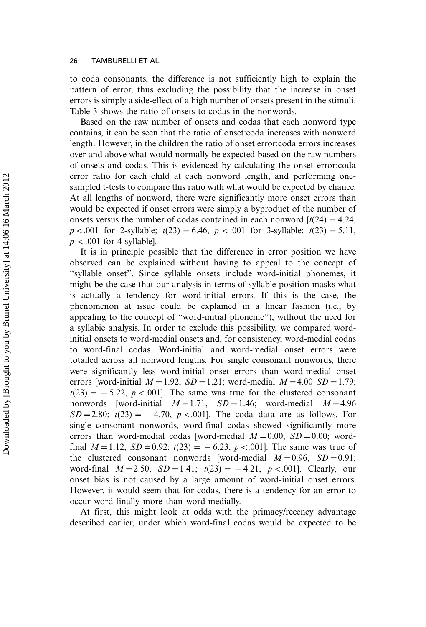to coda consonants, the difference is not sufficiently high to explain the pattern of error, thus excluding the possibility that the increase in onset errors is simply a side-effect of a high number of onsets present in the stimuli. Table 3 shows the ratio of onsets to codas in the nonwords.

Based on the raw number of onsets and codas that each nonword type contains, it can be seen that the ratio of onset:coda increases with nonword length. However, in the children the ratio of onset error:coda errors increases over and above what would normally be expected based on the raw numbers of onsets and codas. This is evidenced by calculating the onset error:coda error ratio for each child at each nonword length, and performing onesampled t-tests to compare this ratio with what would be expected by chance. At all lengths of nonword, there were significantly more onset errors than would be expected if onset errors were simply a byproduct of the number of onsets versus the number of codas contained in each nonword  $[t(24) = 4.24,$  $p < .001$  for 2-syllable;  $t(23) = 6.46$ ,  $p < .001$  for 3-syllable;  $t(23) = 5.11$ ,  $p < .001$  for 4-syllable].

It is in principle possible that the difference in error position we have observed can be explained without having to appeal to the concept of "syllable onset". Since syllable onsets include word-initial phonemes, it might be the case that our analysis in terms of syllable position masks what is actually a tendency for word-initial errors. If this is the case, the phenomenon at issue could be explained in a linear fashion (i.e., by appealing to the concept of ''word-initial phoneme''), without the need for a syllabic analysis. In order to exclude this possibility, we compared wordinitial onsets to word-medial onsets and, for consistency, word-medial codas to word-final codas. Word-initial and word-medial onset errors were totalled across all nonword lengths. For single consonant nonwords, there were significantly less word-initial onset errors than word-medial onset errors [word-initial  $M=1.92$ ,  $SD=1.21$ ; word-medial  $M=4.00$   $SD=1.79$ ;  $t(23) = -5.22$ ,  $p < .001$ . The same was true for the clustered consonant nonwords [word-initial  $M=1.71$ ,  $SD=1.46$ ; word-medial  $M=4.96$  $SD = 2.80$ ;  $t(23) = -4.70$ ,  $p < .001$ . The coda data are as follows. For single consonant nonwords, word-final codas showed significantly more errors than word-medial codas [word-medial  $M=0.00$ ,  $SD=0.00$ ; wordfinal  $M=1.12$ ,  $SD=0.92$ ;  $t(23) = -6.23$ ,  $p < .001$ . The same was true of the clustered consonant nonwords [word-medial  $M=0.96$ ,  $SD=0.91$ ; word-final  $M=2.50$ ,  $SD=1.41$ ;  $t(23) = -4.21$ ,  $p < .001$ . Clearly, our onset bias is not caused by a large amount of word-initial onset errors. However, it would seem that for codas, there is a tendency for an error to occur word-finally more than word-medially.

At first, this might look at odds with the primacy/recency advantage described earlier, under which word-final codas would be expected to be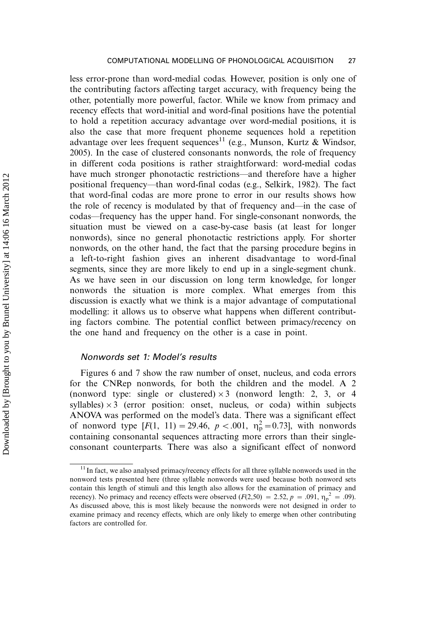less error-prone than word-medial codas. However, position is only one of the contributing factors affecting target accuracy, with frequency being the other, potentially more powerful, factor. While we know from primacy and recency effects that word-initial and word-final positions have the potential to hold a repetition accuracy advantage over word-medial positions, it is also the case that more frequent phoneme sequences hold a repetition advantage over lees frequent sequences<sup>11</sup> (e.g., Munson, Kurtz & Windsor, 2005). In the case of clustered consonants nonwords, the role of frequency in different coda positions is rather straightforward: word-medial codas have much stronger phonotactic restrictions—and therefore have a higher positional frequency—than word-final codas (e.g., Selkirk, 1982). The fact that word-final codas are more prone to error in our results shows how the role of recency is modulated by that of frequency and—in the case of codas—frequency has the upper hand. For single-consonant nonwords, the situation must be viewed on a case-by-case basis (at least for longer nonwords), since no general phonotactic restrictions apply. For shorter nonwords, on the other hand, the fact that the parsing procedure begins in a left-to-right fashion gives an inherent disadvantage to word-final segments, since they are more likely to end up in a single-segment chunk. As we have seen in our discussion on long term knowledge, for longer nonwords the situation is more complex. What emerges from this discussion is exactly what we think is a major advantage of computational modelling: it allows us to observe what happens when different contributing factors combine. The potential conflict between primacy/recency on the one hand and frequency on the other is a case in point.

# Nonwords set 1: Model's results

Figures 6 and 7 show the raw number of onset, nucleus, and coda errors for the CNRep nonwords, for both the children and the model. A 2 (nonword type: single or clustered) $\times$ 3 (nonword length: 2, 3, or 4 syllables) $\times3$  (error position: onset, nucleus, or coda) within subjects ANOVA was performed on the model's data. There was a significant effect of nonword type  $[F(1, 11) = 29.46, p < .001, \eta_p^2 = 0.73]$ , with nonwords containing consonantal sequences attracting more errors than their singleconsonant counterparts. There was also a significant effect of nonword

 $11$  In fact, we also analysed primacy/recency effects for all three syllable nonwords used in the nonword tests presented here (three syllable nonwords were used because both nonword sets contain this length of stimuli and this length also allows for the examination of primacy and recency). No primacy and recency effects were observed  $(F(2,50) = 2.52, p = .091, \eta_p^2 = .09)$ . As discussed above, this is most likely because the nonwords were not designed in order to examine primacy and recency effects, which are only likely to emerge when other contributing factors are controlled for.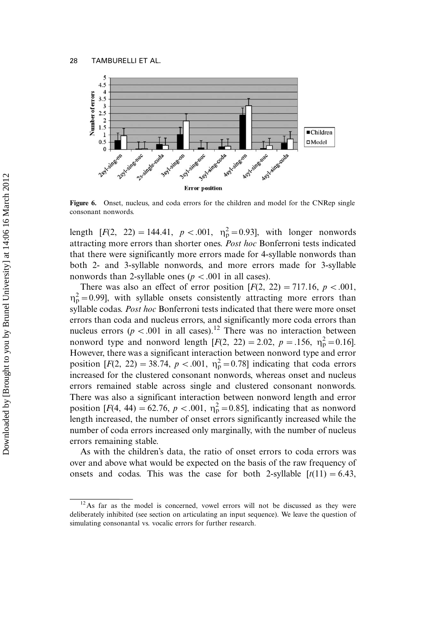

Figure 6. Onset, nucleus, and coda errors for the children and model for the CNRep single consonant nonwords.

length  $[F(2, 22) = 144.41, p < .001, \eta_p^2 = 0.93]$ , with longer nonwords attracting more errors than shorter ones. Post hoc Bonferroni tests indicated that there were significantly more errors made for 4-syllable nonwords than both 2- and 3-syllable nonwords, and more errors made for 3-syllable nonwords than 2-syllable ones ( $p < .001$  in all cases).

There was also an effect of error position  $[F(2, 22) = 717.16, p < .001,$  $\eta_p^2$  = 0.99], with syllable onsets consistently attracting more errors than syllable codas. Post hoc Bonferroni tests indicated that there were more onset errors than coda and nucleus errors, and significantly more coda errors than nucleus errors ( $p < .001$  in all cases).<sup>12</sup> There was no interaction between nonword type and nonword length  $[F(2, 22) = 2.02, p = .156, \eta_p^2 = 0.16]$ . However, there was a significant interaction between nonword type and error position [F(2, 22) = 38.74,  $p < .001$ ,  $\eta_p^2 = 0.78$ ] indicating that coda errors increased for the clustered consonant nonwords, whereas onset and nucleus errors remained stable across single and clustered consonant nonwords. There was also a significant interaction between nonword length and error position [F(4, 44) = 62.76,  $p < .001$ ,  $\eta_p^2 = 0.85$ ], indicating that as nonword length increased, the number of onset errors significantly increased while the number of coda errors increased only marginally, with the number of nucleus errors remaining stable.

As with the children's data, the ratio of onset errors to coda errors was over and above what would be expected on the basis of the raw frequency of onsets and codas. This was the case for both 2-syllable  $[t(11) = 6.43]$ ,

<sup>&</sup>lt;sup>12</sup>As far as the model is concerned, vowel errors will not be discussed as they were deliberately inhibited (see section on articulating an input sequence). We leave the question of simulating consonantal vs. vocalic errors for further research.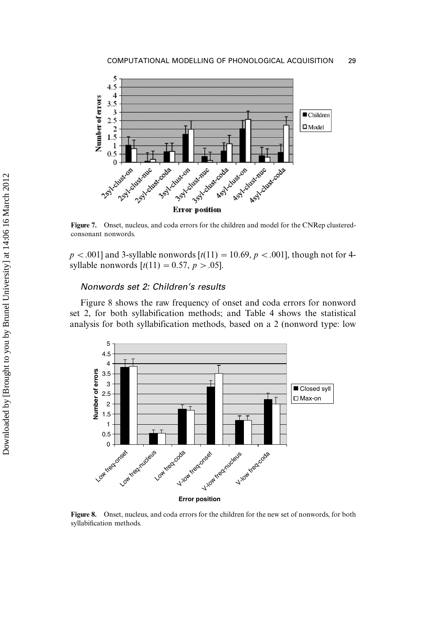

Figure 7. Onset, nucleus, and coda errors for the children and model for the CNRep clusteredconsonant nonwords.

 $p < .001$ ] and 3-syllable nonwords  $[t(11) = 10.69, p < .001]$ , though not for 4syllable nonwords  $[t(11) = 0.57, p > .05]$ .

# Nonwords set 2: Children's results

Figure 8 shows the raw frequency of onset and coda errors for nonword set 2, for both syllabification methods; and Table 4 shows the statistical analysis for both syllabification methods, based on a 2 (nonword type: low



Figure 8. Onset, nucleus, and coda errors for the children for the new set of nonwords, for both syllabification methods.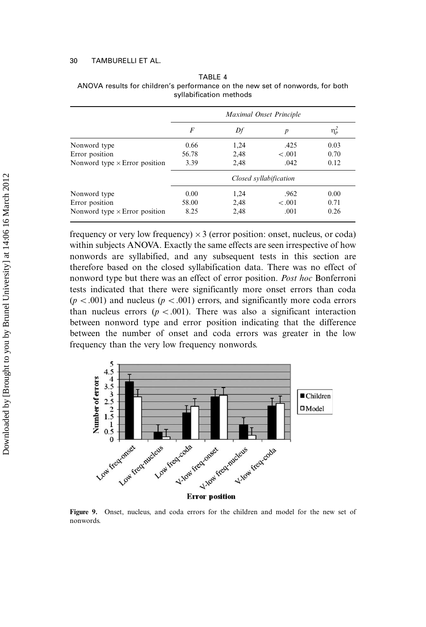|                                      | Maximal Onset Principle |      |                        |            |
|--------------------------------------|-------------------------|------|------------------------|------------|
|                                      | F                       | Df   | p                      | $\eta_p^2$ |
| Nonword type                         | 0.66                    | 1,24 | .425                   | 0.03       |
| Error position                       | 56.78                   | 2,48 | < .001                 | 0.70       |
| Nonword type $\times$ Error position | 3.39                    | 2,48 | .042                   | 0.12       |
|                                      |                         |      | Closed syllabification |            |
| Nonword type                         | 0.00                    | 1,24 | .962                   | 0.00       |
| Error position                       | 58.00                   | 2,48 | < .001                 | 0.71       |
| Nonword type $\times$ Error position | 8.25                    | 2,48 | .001                   | 0.26       |

| TARIF <sub>4</sub>                                                            |  |
|-------------------------------------------------------------------------------|--|
| ANOVA results for children's performance on the new set of nonwords, for both |  |
| syllabification methods                                                       |  |

frequency or very low frequency)  $\times$  3 (error position: onset, nucleus, or coda) within subjects ANOVA. Exactly the same effects are seen irrespective of how nonwords are syllabified, and any subsequent tests in this section are therefore based on the closed syllabification data. There was no effect of nonword type but there was an effect of error position. Post hoc Bonferroni tests indicated that there were significantly more onset errors than coda  $(p < .001)$  and nucleus  $(p < .001)$  errors, and significantly more coda errors than nucleus errors ( $p < .001$ ). There was also a significant interaction between nonword type and error position indicating that the difference between the number of onset and coda errors was greater in the low frequency than the very low frequency nonwords.



Figure 9. Onset, nucleus, and coda errors for the children and model for the new set of nonwords.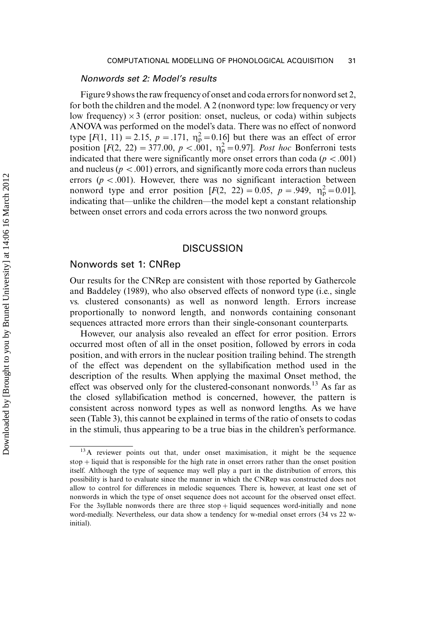## Nonwords set 2: Model's results

Figure 9 shows the raw frequencyof onset and coda errors for nonword set 2, for both the children and the model. A 2 (nonword type: low frequency or very low frequency)  $\times$  3 (error position: onset, nucleus, or coda) within subjects ANOVA was performed on the model's data. There was no effect of nonword type  $[F(1, 11) = 2.15, p = .171, \eta_p^2 = 0.16]$  but there was an effect of error position  $[F(2, 22) = 377.00, p < .001, \eta_p^2 = 0.97]$ . *Post hoc* Bonferroni tests indicated that there were significantly more onset errors than coda ( $p < .001$ ) and nucleus ( $p < .001$ ) errors, and significantly more coda errors than nucleus errors ( $p < .001$ ). However, there was no significant interaction between nonword type and error position  $[F(2, 22) = 0.05, p = .949, \eta_p^2 = 0.01]$ , indicating that—unlike the children—the model kept a constant relationship between onset errors and coda errors across the two nonword groups.

# **DISCUSSION**

# Nonwords set 1: CNRep

Our results for the CNRep are consistent with those reported by Gathercole and Baddeley (1989), who also observed effects of nonword type (i.e., single vs. clustered consonants) as well as nonword length. Errors increase proportionally to nonword length, and nonwords containing consonant sequences attracted more errors than their single-consonant counterparts.

However, our analysis also revealed an effect for error position. Errors occurred most often of all in the onset position, followed by errors in coda position, and with errors in the nuclear position trailing behind. The strength of the effect was dependent on the syllabification method used in the description of the results. When applying the maximal Onset method, the effect was observed only for the clustered-consonant nonwords.<sup>13</sup> As far as the closed syllabification method is concerned, however, the pattern is consistent across nonword types as well as nonword lengths. As we have seen (Table 3), this cannot be explained in terms of the ratio of onsets to codas in the stimuli, thus appearing to be a true bias in the children's performance.

<sup>&</sup>lt;sup>13</sup>A reviewer points out that, under onset maximisation, it might be the sequence  $stop + liquid that is responsible for the high rate in onset errors rather than the onset position$ itself. Although the type of sequence may well play a part in the distribution of errors, this possibility is hard to evaluate since the manner in which the CNRep was constructed does not allow to control for differences in melodic sequences. There is, however, at least one set of nonwords in which the type of onset sequence does not account for the observed onset effect. For the 3syllable nonwords there are three stop  $+$  liquid sequences word-initially and none word-medially. Nevertheless, our data show a tendency for w-medial onset errors (34 vs 22 winitial).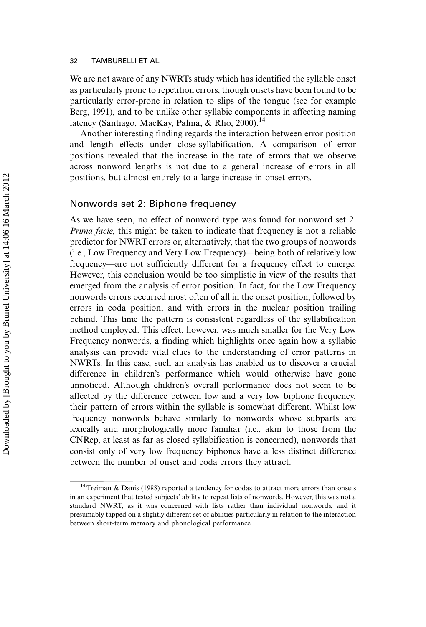We are not aware of any NWRTs study which has identified the syllable onset as particularly prone to repetition errors, though onsets have been found to be particularly error-prone in relation to slips of the tongue (see for example Berg, 1991), and to be unlike other syllabic components in affecting naming latency (Santiago, MacKay, Palma, & Rho, 2000).<sup>14</sup>

Another interesting finding regards the interaction between error position and length effects under close-syllabification. A comparison of error positions revealed that the increase in the rate of errors that we observe across nonword lengths is not due to a general increase of errors in all positions, but almost entirely to a large increase in onset errors.

# Nonwords set 2: Biphone frequency

As we have seen, no effect of nonword type was found for nonword set 2. Prima facie, this might be taken to indicate that frequency is not a reliable predictor for NWRT errors or, alternatively, that the two groups of nonwords (i.e., Low Frequency and Very Low Frequency)\*being both of relatively low frequency—are not sufficiently different for a frequency effect to emerge. However, this conclusion would be too simplistic in view of the results that emerged from the analysis of error position. In fact, for the Low Frequency nonwords errors occurred most often of all in the onset position, followed by errors in coda position, and with errors in the nuclear position trailing behind. This time the pattern is consistent regardless of the syllabification method employed. This effect, however, was much smaller for the Very Low Frequency nonwords, a finding which highlights once again how a syllabic analysis can provide vital clues to the understanding of error patterns in NWRTs. In this case, such an analysis has enabled us to discover a crucial difference in children's performance which would otherwise have gone unnoticed. Although children's overall performance does not seem to be affected by the difference between low and a very low biphone frequency, their pattern of errors within the syllable is somewhat different. Whilst low frequency nonwords behave similarly to nonwords whose subparts are lexically and morphologically more familiar (i.e., akin to those from the CNRep, at least as far as closed syllabification is concerned), nonwords that consist only of very low frequency biphones have a less distinct difference between the number of onset and coda errors they attract.

<sup>&</sup>lt;sup>14</sup>Treiman & Danis (1988) reported a tendency for codas to attract more errors than onsets in an experiment that tested subjects' ability to repeat lists of nonwords. However, this was not a standard NWRT, as it was concerned with lists rather than individual nonwords, and it presumably tapped on a slightly different set of abilities particularly in relation to the interaction between short-term memory and phonological performance.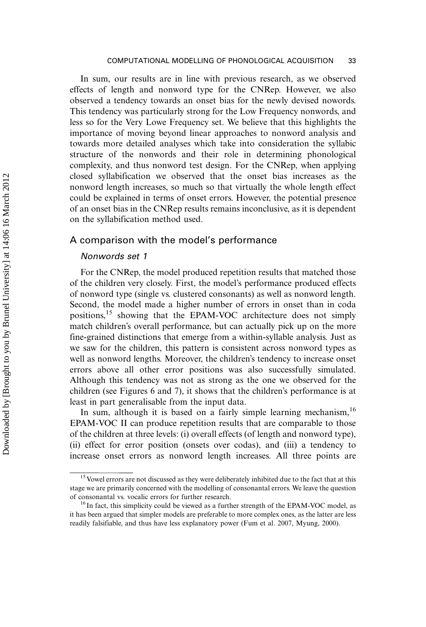In sum, our results are in line with previous research, as we observed effects of length and nonword type for the CNRep. However, we also observed a tendency towards an onset bias for the newly devised nowords. This tendency was particularly strong for the Low Frequency nonwords, and less so for the Very Lowe Frequency set. We believe that this highlights the importance of moving beyond linear approaches to nonword analysis and towards more detailed analyses which take into consideration the syllabic structure of the nonwords and their role in determining phonological complexity, and thus nonword test design. For the CNRep, when applying closed syllabification we observed that the onset bias increases as the nonword length increases, so much so that virtually the whole length effect could be explained in terms of onset errors. However, the potential presence of an onset bias in the CNRep results remains inconclusive, as it is dependent on the syllabification method used.

### A comparison with the model's performance

# Nonwords set 1

For the CNRep, the model produced repetition results that matched those of the children very closely. First, the model's performance produced effects of nonword type (single vs. clustered consonants) as well as nonword length. Second, the model made a higher number of errors in onset than in coda positions,<sup>15</sup> showing that the EPAM-VOC architecture does not simply match children's overall performance, but can actually pick up on the more fine-grained distinctions that emerge from a within-syllable analysis. Just as we saw for the children, this pattern is consistent across nonword types as well as nonword lengths. Moreover, the children's tendency to increase onset errors above all other error positions was also successfully simulated. Although this tendency was not as strong as the one we observed for the children (see Figures 6 and 7), it shows that the children's performance is at least in part generalisable from the input data.

In sum, although it is based on a fairly simple learning mechanism,  $16$ EPAM-VOC II can produce repetition results that are comparable to those of the children at three levels: (i) overall effects (of length and nonword type), (ii) effect for error position (onsets over codas), and (iii) a tendency to increase onset errors as nonword length increases. All three points are

<sup>&</sup>lt;sup>15</sup> Vowel errors are not discussed as they were deliberately inhibited due to the fact that at this stage we are primarily concerned with the modelling of consonantal errors. We leave the question of consonantal vs. vocalic errors for further research. <sup>16</sup> In fact, this simplicity could be viewed as a further strength of the EPAM-VOC model, as

it has been argued that simpler models are preferable to more complex ones, as the latter are less readily falsifiable, and thus have less explanatory power (Fum et al. 2007, Myung, 2000).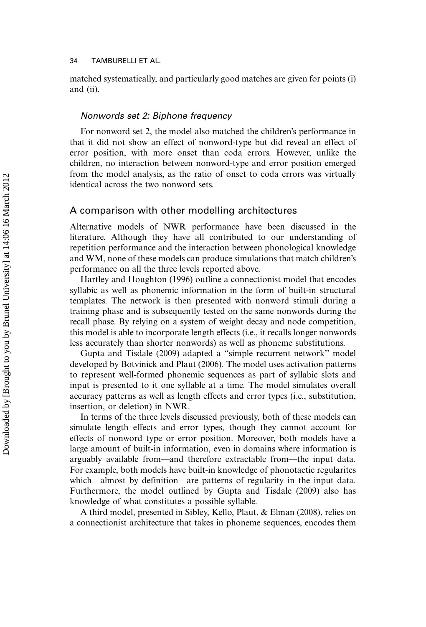matched systematically, and particularly good matches are given for points (i) and (ii).

### Nonwords set 2: Biphone frequency

For nonword set 2, the model also matched the children's performance in that it did not show an effect of nonword-type but did reveal an effect of error position, with more onset than coda errors. However, unlike the children, no interaction between nonword-type and error position emerged from the model analysis, as the ratio of onset to coda errors was virtually identical across the two nonword sets.

# A comparison with other modelling architectures

Alternative models of NWR performance have been discussed in the literature. Although they have all contributed to our understanding of repetition performance and the interaction between phonological knowledge and WM, none of these models can produce simulations that match children's performance on all the three levels reported above.

Hartley and Houghton (1996) outline a connectionist model that encodes syllabic as well as phonemic information in the form of built-in structural templates. The network is then presented with nonword stimuli during a training phase and is subsequently tested on the same nonwords during the recall phase. By relying on a system of weight decay and node competition, this model is able to incorporate length effects (i.e., it recalls longer nonwords less accurately than shorter nonwords) as well as phoneme substitutions.

Gupta and Tisdale (2009) adapted a ''simple recurrent network'' model developed by Botvinick and Plaut (2006). The model uses activation patterns to represent well-formed phonemic sequences as part of syllabic slots and input is presented to it one syllable at a time. The model simulates overall accuracy patterns as well as length effects and error types (i.e., substitution, insertion, or deletion) in NWR.

In terms of the three levels discussed previously, both of these models can simulate length effects and error types, though they cannot account for effects of nonword type or error position. Moreover, both models have a large amount of built-in information, even in domains where information is arguably available from—and therefore extractable from—the input data. For example, both models have built-in knowledge of phonotactic regularites which—almost by definition—are patterns of regularity in the input data. Furthermore, the model outlined by Gupta and Tisdale (2009) also has knowledge of what constitutes a possible syllable.

A third model, presented in Sibley, Kello, Plaut, & Elman (2008), relies on a connectionist architecture that takes in phoneme sequences, encodes them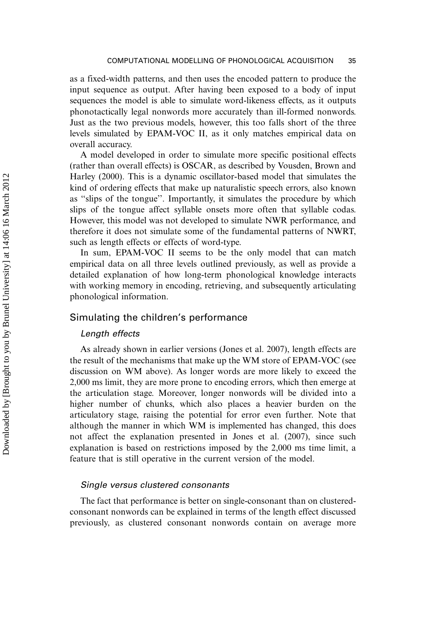as a fixed-width patterns, and then uses the encoded pattern to produce the input sequence as output. After having been exposed to a body of input sequences the model is able to simulate word-likeness effects, as it outputs phonotactically legal nonwords more accurately than ill-formed nonwords. Just as the two previous models, however, this too falls short of the three levels simulated by EPAM-VOC II, as it only matches empirical data on overall accuracy.

A model developed in order to simulate more specific positional effects (rather than overall effects) is OSCAR, as described by Vousden, Brown and Harley (2000). This is a dynamic oscillator-based model that simulates the kind of ordering effects that make up naturalistic speech errors, also known as ''slips of the tongue''. Importantly, it simulates the procedure by which slips of the tongue affect syllable onsets more often that syllable codas. However, this model was not developed to simulate NWR performance, and therefore it does not simulate some of the fundamental patterns of NWRT, such as length effects or effects of word-type.

In sum, EPAM-VOC II seems to be the only model that can match empirical data on all three levels outlined previously, as well as provide a detailed explanation of how long-term phonological knowledge interacts with working memory in encoding, retrieving, and subsequently articulating phonological information.

# Simulating the children's performance

#### Length effects

As already shown in earlier versions (Jones et al. 2007), length effects are the result of the mechanisms that make up the WM store of EPAM-VOC (see discussion on WM above). As longer words are more likely to exceed the 2,000 ms limit, they are more prone to encoding errors, which then emerge at the articulation stage. Moreover, longer nonwords will be divided into a higher number of chunks, which also places a heavier burden on the articulatory stage, raising the potential for error even further. Note that although the manner in which WM is implemented has changed, this does not affect the explanation presented in Jones et al. (2007), since such explanation is based on restrictions imposed by the 2,000 ms time limit, a feature that is still operative in the current version of the model.

### Single versus clustered consonants

The fact that performance is better on single-consonant than on clusteredconsonant nonwords can be explained in terms of the length effect discussed previously, as clustered consonant nonwords contain on average more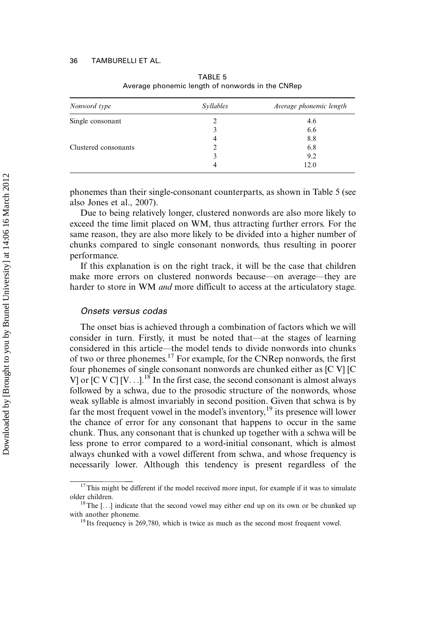| Nonword type         | <i>Syllables</i> | Average phonemic length |
|----------------------|------------------|-------------------------|
| Single consonant     |                  | 4.6                     |
|                      |                  | 6.6                     |
|                      | 4                | 8.8                     |
| Clustered consonants |                  | 6.8                     |
|                      |                  | 9.2                     |
|                      |                  | 12.0                    |

TABLE 5 Average phonemic length of nonwords in the CNRep

phonemes than their single-consonant counterparts, as shown in Table 5 (see also Jones et al., 2007).

Due to being relatively longer, clustered nonwords are also more likely to exceed the time limit placed on WM, thus attracting further errors. For the same reason, they are also more likely to be divided into a higher number of chunks compared to single consonant nonwords, thus resulting in poorer performance.

If this explanation is on the right track, it will be the case that children make more errors on clustered nonwords because—on average—they are harder to store in WM *and* more difficult to access at the articulatory stage.

#### Onsets versus codas

The onset bias is achieved through a combination of factors which we will consider in turn. Firstly, it must be noted that—at the stages of learning considered in this article\*the model tends to divide nonwords into chunks of two or three phonemes.<sup>17</sup> For example, for the CNRep nonwords, the first four phonemes of single consonant nonwords are chunked either as [C V] [C V] or  $[C V C] [V...]$ .<sup>18</sup> In the first case, the second consonant is almost always followed by a schwa, due to the prosodic structure of the nonwords, whose weak syllable is almost invariably in second position. Given that schwa is by far the most frequent vowel in the model's inventory,<sup>19</sup> its presence will lower the chance of error for any consonant that happens to occur in the same chunk. Thus, any consonant that is chunked up together with a schwa will be less prone to error compared to a word-initial consonant, which is almost always chunked with a vowel different from schwa, and whose frequency is necessarily lower. Although this tendency is present regardless of the

 $17$ This might be different if the model received more input, for example if it was to simulate older children.<br><sup>18</sup>The [...] indicate that the second vowel may either end up on its own or be chunked up

with another phoneme.

<sup>&</sup>lt;sup>19</sup> Its frequency is 269,780, which is twice as much as the second most frequent vowel.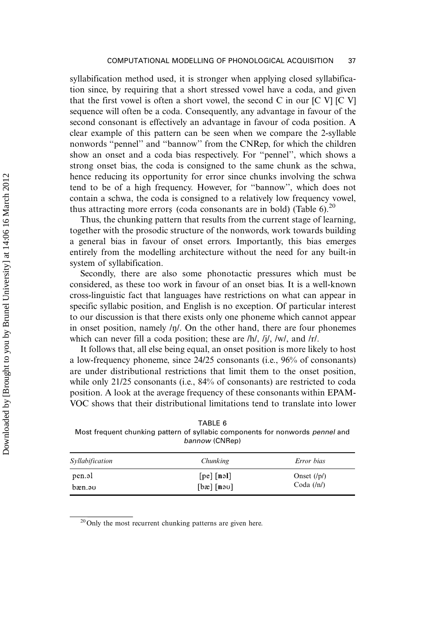syllabification method used, it is stronger when applying closed syllabification since, by requiring that a short stressed vowel have a coda, and given that the first vowel is often a short vowel, the second C in our  $[C \ V]$   $[C \ V]$ sequence will often be a coda. Consequently, any advantage in favour of the second consonant is effectively an advantage in favour of coda position. A clear example of this pattern can be seen when we compare the 2-syllable nonwords ''pennel'' and ''bannow'' from the CNRep, for which the children show an onset and a coda bias respectively. For ''pennel'', which shows a strong onset bias, the coda is consigned to the same chunk as the schwa, hence reducing its opportunity for error since chunks involving the schwa tend to be of a high frequency. However, for ''bannow'', which does not contain a schwa, the coda is consigned to a relatively low frequency vowel, thus attracting more errors. (coda consonants are in bold) (Table  $6$ ).<sup>20</sup>

Thus, the chunking pattern that results from the current stage of learning, together with the prosodic structure of the nonwords, work towards building a general bias in favour of onset errors. Importantly, this bias emerges entirely from the modelling architecture without the need for any built-in system of syllabification.

Secondly, there are also some phonotactic pressures which must be considered, as these too work in favour of an onset bias. It is a well-known cross-linguistic fact that languages have restrictions on what can appear in specific syllabic position, and English is no exception. Of particular interest to our discussion is that there exists only one phoneme which cannot appear in onset position, namely  $/\eta$ . On the other hand, there are four phonemes which can never fill a coda position; these are  $/h/$ ,  $h/$ ,  $/\sqrt{w/}$ , and  $/r/$ .

It follows that, all else being equal, an onset position is more likely to host a low-frequency phoneme, since 24/25 consonants (i.e., 96% of consonants) are under distributional restrictions that limit them to the onset position, while only 21/25 consonants (i.e., 84% of consonants) are restricted to coda position. A look at the average frequency of these consonants within EPAM-VOC shows that their distributional limitations tend to translate into lower

TABLE 6 Most frequent chunking pattern of syllabic components for nonwords pennel and bannow (CNRep)

| Syllabification | Chunking                   | Error bias                |
|-----------------|----------------------------|---------------------------|
| pen.al          | $[pe]$ $[nol]$             | Onset $( p )$             |
| bæn.90          | $[\text{ba}]$ $[\text{na}$ | Coda $(\frac{ln}{\right)$ |

<sup>&</sup>lt;sup>20</sup>Only the most recurrent chunking patterns are given here.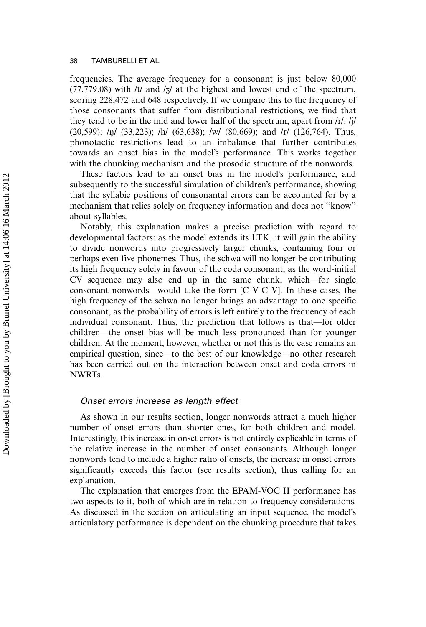frequencies. The average frequency for a consonant is just below 80,000 (77,779.08) with /t/ and / $\frac{1}{2}$  at the highest and lowest end of the spectrum, scoring 228,472 and 648 respectively. If we compare this to the frequency of those consonants that suffer from distributional restrictions, we find that they tend to be in the mid and lower half of the spectrum, apart from  $\frac{r}{i}$ .  $\frac{r}{i}$ (20,599);  $/\eta$  (33,223);  $/\hbar$  (63,638);  $/\psi$  (80,669); and  $/\tau$  (126,764). Thus, phonotactic restrictions lead to an imbalance that further contributes towards an onset bias in the model's performance. This works together with the chunking mechanism and the prosodic structure of the nonwords.

These factors lead to an onset bias in the model's performance, and subsequently to the successful simulation of children's performance, showing that the syllabic positions of consonantal errors can be accounted for by a mechanism that relies solely on frequency information and does not ''know'' about syllables.

Notably, this explanation makes a precise prediction with regard to developmental factors: as the model extends its LTK, it will gain the ability to divide nonwords into progressively larger chunks, containing four or perhaps even five phonemes. Thus, the schwa will no longer be contributing its high frequency solely in favour of the coda consonant, as the word-initial  $CV$  sequence may also end up in the same chunk, which—for single consonant nonwords—would take the form  $[C V C V]$ . In these cases, the high frequency of the schwa no longer brings an advantage to one specific consonant, as the probability of errors is left entirely to the frequency of each individual consonant. Thus, the prediction that follows is that-for older children—the onset bias will be much less pronounced than for younger children. At the moment, however, whether or not this is the case remains an empirical question, since—to the best of our knowledge—no other research has been carried out on the interaction between onset and coda errors in NWRTs.

### Onset errors increase as length effect

As shown in our results section, longer nonwords attract a much higher number of onset errors than shorter ones, for both children and model. Interestingly, this increase in onset errors is not entirely explicable in terms of the relative increase in the number of onset consonants. Although longer nonwords tend to include a higher ratio of onsets, the increase in onset errors significantly exceeds this factor (see results section), thus calling for an explanation.

The explanation that emerges from the EPAM-VOC II performance has two aspects to it, both of which are in relation to frequency considerations. As discussed in the section on articulating an input sequence, the model's articulatory performance is dependent on the chunking procedure that takes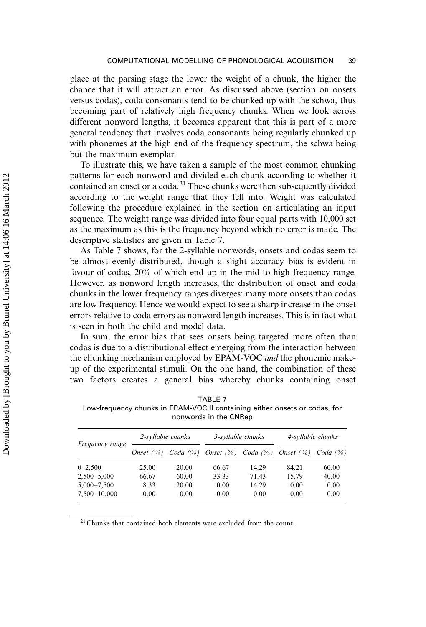place at the parsing stage the lower the weight of a chunk, the higher the chance that it will attract an error. As discussed above (section on onsets versus codas), coda consonants tend to be chunked up with the schwa, thus becoming part of relatively high frequency chunks. When we look across different nonword lengths, it becomes apparent that this is part of a more general tendency that involves coda consonants being regularly chunked up with phonemes at the high end of the frequency spectrum, the schwa being but the maximum exemplar.

To illustrate this, we have taken a sample of the most common chunking patterns for each nonword and divided each chunk according to whether it contained an onset or a coda.<sup>21</sup> These chunks were then subsequently divided according to the weight range that they fell into. Weight was calculated following the procedure explained in the section on articulating an input sequence. The weight range was divided into four equal parts with 10,000 set as the maximum as this is the frequency beyond which no error is made. The descriptive statistics are given in Table 7.

As Table 7 shows, for the 2-syllable nonwords, onsets and codas seem to be almost evenly distributed, though a slight accuracy bias is evident in favour of codas, 20% of which end up in the mid-to-high frequency range. However, as nonword length increases, the distribution of onset and coda chunks in the lower frequency ranges diverges: many more onsets than codas are low frequency. Hence we would expect to see a sharp increase in the onset errors relative to coda errors as nonword length increases. This is in fact what is seen in both the child and model data.

In sum, the error bias that sees onsets being targeted more often than codas is due to a distributional effect emerging from the interaction between the chunking mechanism employed by EPAM-VOC and the phonemic makeup of the experimental stimuli. On the one hand, the combination of these two factors creates a general bias whereby chunks containing onset

| <i>Frequency range</i> | 2-syllable chunks |       | 3-syllable chunks                                                          |       | 4-syllable chunks |       |
|------------------------|-------------------|-------|----------------------------------------------------------------------------|-------|-------------------|-------|
|                        |                   |       | Onset $(\%)$ Coda $(\%)$ Onset $(\%)$ Coda $(\%)$ Onset $(\%)$ Coda $(\%)$ |       |                   |       |
| $0 - 2,500$            | 25.00             | 20.00 | 66.67                                                                      | 14.29 | 84.21             | 60.00 |
| $2,500 - 5,000$        | 66.67             | 60.00 | 33.33                                                                      | 71.43 | 15.79             | 40.00 |
| $5,000 - 7,500$        | 8.33              | 20.00 | 0.00                                                                       | 14.29 | 0.00              | 0.00  |
| $7,500 - 10,000$       | 0.00              | 0.00  | 0.00                                                                       | 0.00  | 0.00              | 0.00  |

TABLE 7 Low-frequency chunks in EPAM-VOC II containing either onsets or codas, for nonwords in the CNRep

 $21$  Chunks that contained both elements were excluded from the count.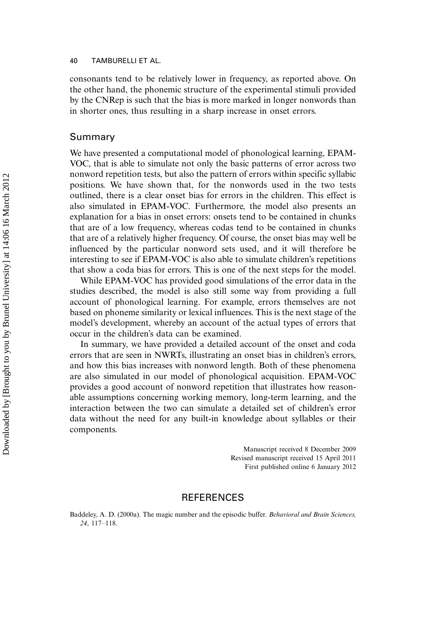consonants tend to be relatively lower in frequency, as reported above. On the other hand, the phonemic structure of the experimental stimuli provided by the CNRep is such that the bias is more marked in longer nonwords than in shorter ones, thus resulting in a sharp increase in onset errors.

# Summary

We have presented a computational model of phonological learning, EPAM-VOC, that is able to simulate not only the basic patterns of error across two nonword repetition tests, but also the pattern of errors within specific syllabic positions. We have shown that, for the nonwords used in the two tests outlined, there is a clear onset bias for errors in the children. This effect is also simulated in EPAM-VOC. Furthermore, the model also presents an explanation for a bias in onset errors: onsets tend to be contained in chunks that are of a low frequency, whereas codas tend to be contained in chunks that are of a relatively higher frequency. Of course, the onset bias may well be influenced by the particular nonword sets used, and it will therefore be interesting to see if EPAM-VOC is also able to simulate children's repetitions that show a coda bias for errors. This is one of the next steps for the model.

While EPAM-VOC has provided good simulations of the error data in the studies described, the model is also still some way from providing a full account of phonological learning. For example, errors themselves are not based on phoneme similarity or lexical influences. This is the next stage of the model's development, whereby an account of the actual types of errors that occur in the children's data can be examined.

In summary, we have provided a detailed account of the onset and coda errors that are seen in NWRTs, illustrating an onset bias in children's errors, and how this bias increases with nonword length. Both of these phenomena are also simulated in our model of phonological acquisition. EPAM-VOC provides a good account of nonword repetition that illustrates how reasonable assumptions concerning working memory, long-term learning, and the interaction between the two can simulate a detailed set of children's error data without the need for any built-in knowledge about syllables or their components.

> Manuscript received 8 December 2009 Revised manuscript received 15 April 2011 First published online 6 January 2012

# **REFERENCES**

Baddeley, A. D. (2000a). The magic number and the episodic buffer. Behavioral and Brain Sciences,  $24.117 - 118.$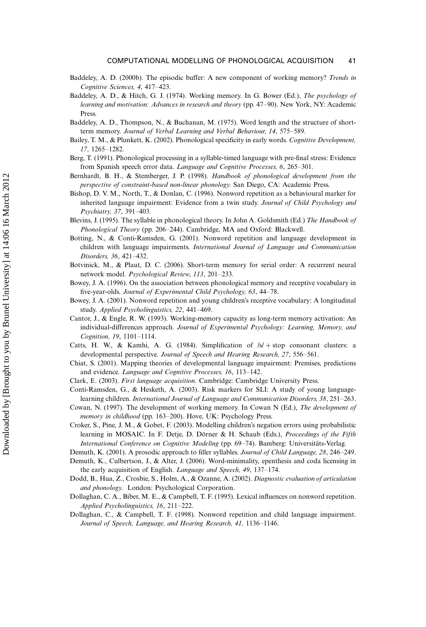- Baddeley, A. D. (2000b). The episodic buffer: A new component of working memory? Trends in Cognitive Sciences, 4, 417-423.
- Baddeley, A. D., & Hitch, G. J. (1974). Working memory. In G. Bower (Ed.), The psychology of learning and motivation: Advances in research and theory (pp. 47–90). New York, NY: Academic Press.
- Baddeley, A. D., Thompson, N., & Buchanan, M. (1975). Word length and the structure of shortterm memory. Journal of Verbal Learning and Verbal Behaviour, 14, 575-589.
- Bailey, T. M., & Plunkett, K. (2002). Phonological specificity in early words. Cognitive Development, 17, 1265-1282.
- Berg, T. (1991). Phonological processing in a syllable-timed language with pre-final stress: Evidence from Spanish speech error data. Language and Cognitive Processes, 6, 265-301.
- Bernhardt, B. H., & Stemberger, J. P. (1998). Handbook of phonological development from the perspective of constraint-based non-linear phonology. San Diego, CA: Academic Press.
- Bishop, D. V. M., North, T., & Donlan, C. (1996). Nonword repetition as a behavioural marker for inherited language impairment: Evidence from a twin study. Journal of Child Psychology and Psychiatry, 37, 391-403.
- Blevins, J. (1995). The syllable in phonological theory. In John A. Goldsmith (Ed.) The Handbook of Phonological Theory (pp. 206–244). Cambridge, MA and Oxford: Blackwell.
- Botting, N., & Conti-Ramsden, G. (2001). Nonword repetition and language development in children with language impairments. International Journal of Language and Communication Disorders, 36, 421-432.
- Botvinick, M., & Plaut, D. C. (2006). Short-term memory for serial order: A recurrent neural network model. Psychological Review, 113, 201-233.
- Bowey, J. A. (1996). On the association between phonological memory and receptive vocabulary in five-year-olds. Journal of Experimental Child Psychology, 63, 44-78.
- Bowey, J. A. (2001). Nonword repetition and young children's receptive vocabulary: A longitudinal study. Applied Psycholinguistics, 22, 441-469.
- Cantor, J., & Engle, R. W. (1993). Working-memory capacity as long-term memory activation: An individual-differences approach. Journal of Experimental Psychology: Learning, Memory, and Cognition, 19, 1101-1114.
- Catts, H. W., & Kamhi, A. G. (1984). Simplification of  $\sqrt{s}$  + stop consonant clusters: a developmental perspective. Journal of Speech and Hearing Research, 27, 556-561.
- Chiat, S. (2001). Mapping theories of developmental language impairment: Premises, predictions and evidence. Language and Cognitive Processes, 16, 113-142.
- Clark, E. (2003). First language acquisition. Cambridge: Cambridge University Press.
- Conti-Ramsden, G., & Hesketh, A. (2003). Risk markers for SLI: A study of young languagelearning children. International Journal of Language and Communication Disorders, 38, 251-263.
- Cowan, N. (1997). The development of working memory. In Cowan N (Ed.), The development of memory in childhood (pp. 163-200). Hove, UK: Psychology Press.
- Croker, S., Pine, J. M., & Gobet, F. (2003). Modelling children's negation errors using probabilistic learning in MOSAIC. In F. Detje, D. Dörner & H. Schaub (Eds.), *Proceedings of the Fifth* International Conference on Cognitive Modeling (pp. 69-74). Bamberg: Universitäts-Verlag.
- Demuth, K. (2001). A prosodic approach to filler syllables. Journal of Child Language, 28, 246–249.
- Demuth, K., Culbertson, J., & Alter, J. (2006). Word-minimality, epenthesis and coda licensing in the early acquisition of English. Language and Speech, 49, 137-174.
- Dodd, B., Hua, Z., Crosbie, S., Holm, A., & Ozanne, A. (2002). Diagnostic evaluation of articulation and phonology. London: Psychological Corporation.
- Dollaghan, C. A., Biber, M. E., & Campbell, T. F. (1995). Lexical influences on nonword repetition. Applied Psycholinguistics,  $16$ ,  $211-222$ .
- Dollaghan, C., & Campbell, T. F. (1998). Nonword repetition and child language impairment. Journal of Speech, Language, and Hearing Research, 41, 1136-1146.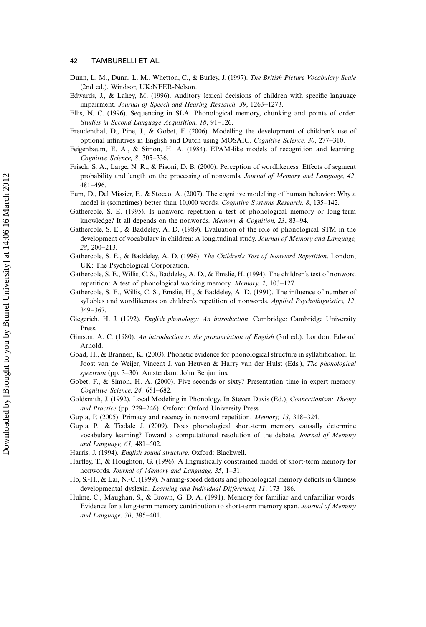- Dunn, L. M., Dunn, L. M., Whetton, C., & Burley, J. (1997). The British Picture Vocabulary Scale (2nd ed.). Windsor, UK:NFER-Nelson.
- Edwards, J., & Lahey, M. (1996). Auditory lexical decisions of children with specific language impairment. Journal of Speech and Hearing Research, 39, 1263-1273.
- Ellis, N. C. (1996). Sequencing in SLA: Phonological memory, chunking and points of order. Studies in Second Language Acquisition,  $18, 91-126$ .
- Freudenthal, D., Pine, J., & Gobet, F. (2006). Modelling the development of children's use of optional infinitives in English and Dutch using MOSAIC. Cognitive Science, 30, 277-310.
- Feigenbaum, E. A., & Simon, H. A. (1984). EPAM-like models of recognition and learning. Cognitive Science, 8, 305-336.
- Frisch, S. A., Large, N. R., & Pisoni, D. B. (2000). Perception of wordlikeness: Effects of segment probability and length on the processing of nonwords. Journal of Memory and Language, 42, 481496.
- Fum, D., Del Missier, F., & Stocco, A. (2007). The cognitive modelling of human behavior: Why a model is (sometimes) better than 10,000 words. Cognitive Systems Research, 8, 135–142.
- Gathercole, S. E. (1995). Is nonword repetition a test of phonological memory or long-term knowledge? It all depends on the nonwords. Memory  $\&$  Cognition, 23, 83-94.
- Gathercole, S. E., & Baddeley, A. D. (1989). Evaluation of the role of phonological STM in the development of vocabulary in children: A longitudinal study. Journal of Memory and Language, 28, 200-213.
- Gathercole, S. E., & Baddeley, A. D. (1996). The Children's Test of Nonword Repetition. London, UK: The Psychological Corporation.
- Gathercole, S. E., Willis, C. S., Baddeley, A. D., & Emslie, H. (1994). The children's test of nonword repetition: A test of phonological working memory. Memory, 2, 103-127.
- Gathercole, S. E., Willis, C. S., Emslie, H., & Baddeley, A. D. (1991). The influence of number of syllables and wordlikeness on children's repetition of nonwords. Applied Psycholinguistics, 12, 349-367
- Giegerich, H. J. (1992). English phonology: An introduction. Cambridge: Cambridge University Press.
- Gimson, A. C. (1980). An introduction to the pronunciation of English (3rd ed.). London: Edward Arnold.
- Goad, H., & Brannen, K. (2003). Phonetic evidence for phonological structure in syllabification. In Joost van de Weijer, Vincent J. van Heuven & Harry van der Hulst (Eds.), The phonological spectrum (pp. 3-30). Amsterdam: John Benjamins.
- Gobet, F., & Simon, H. A. (2000). Five seconds or sixty? Presentation time in expert memory. Cognitive Science, 24, 651-682.
- Goldsmith, J. (1992). Local Modeling in Phonology. In Steven Davis (Ed.), Connectionism: Theory and Practice (pp. 229-246). Oxford: Oxford University Press.
- Gupta, P. (2005). Primacy and recency in nonword repetition. *Memory*,  $13$ ,  $318-324$ .
- Gupta P., & Tisdale J. (2009). Does phonological short-term memory causally determine vocabulary learning? Toward a computational resolution of the debate. Journal of Memory and Language,  $61$ ,  $481-502$ .
- Harris, J. (1994). English sound structure. Oxford: Blackwell.
- Hartley, T., & Houghton, G. (1996). A linguistically constrained model of short-term memory for nonwords. Journal of Memory and Language, 35, 1-31.
- Ho, S.-H., & Lai, N.-C. (1999). Naming-speed deficits and phonological memory deficits in Chinese developmental dyslexia. Learning and Individual Differences, 11, 173-186.
- Hulme, C., Maughan, S., & Brown, G. D. A. (1991). Memory for familiar and unfamiliar words: Evidence for a long-term memory contribution to short-term memory span. Journal of Memory and Language, 30, 385-401.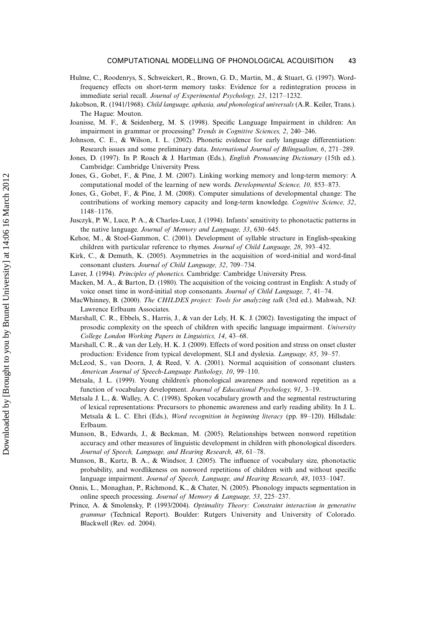- Hulme, C., Roodenrys, S., Schweickert, R., Brown, G. D., Martin, M., & Stuart, G. (1997). Wordfrequency effects on short-term memory tasks: Evidence for a redintegration process in immediate serial recall. Journal of Experimental Psychology, 23, 1217-1232.
- Jakobson, R. (1941/1968). Child language, aphasia, and phonological universals (A.R. Keiler, Trans.). The Hague: Mouton.
- Joanisse, M. F., & Seidenberg, M. S. (1998). Specific Language Impairment in children: An impairment in grammar or processing? Trends in Cognitive Sciences, 2, 240-246.
- Johnson, C. E., & Wilson, I. L. (2002). Phonetic evidence for early language differentiation: Research issues and some preliminary data. *International Journal of Bilingualism*, 6, 271–289.
- Jones, D. (1997). In P. Roach & J. Hartman (Eds.), *English Pronouncing Dictionary* (15th ed.). Cambridge: Cambridge University Press.
- Jones, G., Gobet, F., & Pine, J. M. (2007). Linking working memory and long-term memory: A computational model of the learning of new words. Developmental Science, 10, 853–873.
- Jones, G., Gobet, F., & Pine, J. M. (2008). Computer simulations of developmental change: The contributions of working memory capacity and long-term knowledge. Cognitive Science, 32, 1148-1176
- Jusczyk, P. W., Luce, P. A., & Charles-Luce, J. (1994). Infants'sensitivity to phonotactic patterns in the native language. Journal of Memory and Language, 33, 630–645.
- Kehoe, M., & Stoel-Gammon, C. (2001). Development of syllable structure in English-speaking children with particular reference to rhymes. Journal of Child Language, 28, 393-432.
- Kirk, C., & Demuth, K. (2005). Asymmetries in the acquisition of word-initial and word-final consonant clusters. Journal of Child Language, 32, 709-734.
- Laver, J. (1994). Principles of phonetics. Cambridge: Cambridge University Press.
- Macken, M. A., & Barton, D. (1980). The acquisition of the voicing contrast in English: A study of voice onset time in word-initial stop consonants. Journal of Child Language, 7, 41-74.
- MacWhinney, B. (2000). The CHILDES project: Tools for analyzing talk (3rd ed.). Mahwah, NJ: Lawrence Erlbaum Associates.
- Marshall, C. R., Ebbels, S., Harris, J., & van der Lely, H. K. J. (2002). Investigating the impact of prosodic complexity on the speech of children with specific language impairment. University College London Working Papers in Linguistics, 14, 43-68.
- Marshall, C. R., & van der Lely, H. K. J. (2009). Effects of word position and stress on onset cluster production: Evidence from typical development, SLI and dyslexia. Language, 85, 39-57.
- McLeod, S., van Doorn, J, & Reed, V. A. (2001). Normal acquisition of consonant clusters. American Journal of Speech-Language Pathology, 10, 99-110.
- Metsala, J. L. (1999). Young children's phonological awareness and nonword repetition as a function of vocabulary development. Journal of Educational Psychology, 91, 3-19.
- Metsala J. L., &. Walley, A. C. (1998). Spoken vocabulary growth and the segmental restructuring of lexical representations: Precursors to phonemic awareness and early reading ability. In J. L. Metsala & L. C. Ehri (Eds.), *Word recognition in beginning literacy* (pp. 89–120). Hillsdale: Erlbaum.
- Munson, B., Edwards, J., & Beckman, M. (2005). Relationships between nonword repetition accuracy and other measures of linguistic development in children with phonological disorders. Journal of Speech, Language, and Hearing Research, 48, 61-78.
- Munson, B., Kurtz, B. A., & Windsor, J. (2005). The influence of vocabulary size, phonotactic probability, and wordlikeness on nonword repetitions of children with and without specific language impairment. Journal of Speech, Language, and Hearing Research, 48, 1033-1047.
- Onnis, L., Monaghan, P., Richmond, K., & Chater, N. (2005). Phonology impacts segmentation in online speech processing. Journal of Memory & Language, 53, 225-237.
- Prince, A. & Smolensky, P. (1993/2004). Optimality Theory: Constraint interaction in generative grammar (Technical Report). Boulder: Rutgers University and University of Colorado. Blackwell (Rev. ed. 2004).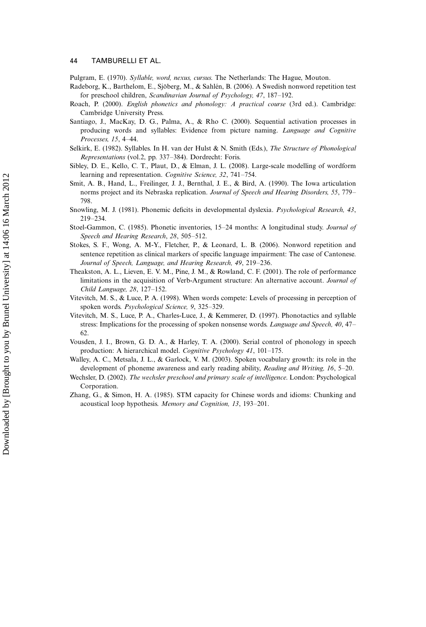Pulgram, E. (1970). Syllable, word, nexus, cursus. The Netherlands: The Hague, Mouton.

- Radeborg, K., Barthelom, E., Sjöberg, M., & Sahlén, B. (2006). A Swedish nonword repetition test for preschool children, Scandinavian Journal of Psychology, 47, 187-192.
- Roach, P. (2000). English phonetics and phonology: A practical course (3rd ed.). Cambridge: Cambridge University Press.
- Santiago, J., MacKay, D. G., Palma, A., & Rho C. (2000). Sequential activation processes in producing words and syllables: Evidence from picture naming. Language and Cognitive Processes, 15, 4-44.
- Selkirk, E. (1982). Syllables. In H. van der Hulst & N. Smith (Eds.), The Structure of Phonological Representations (vol.2, pp. 337-384). Dordrecht: Foris.
- Sibley, D. E., Kello, C. T., Plaut, D., & Elman, J. L. (2008). Large-scale modelling of wordform learning and representation. Cognitive Science, 32, 741-754.
- Smit, A. B., Hand, L., Freilinger, J. J., Bernthal, J. E., & Bird, A. (1990). The Iowa articulation norms project and its Nebraska replication. Journal of Speech and Hearing Disorders, 55, 779– 798.
- Snowling, M. J. (1981). Phonemic deficits in developmental dyslexia. Psychological Research, 43, 219234.
- Stoel-Gammon, C. (1985). Phonetic inventories, 15-24 months: A longitudinal study. Journal of Speech and Hearing Research, 28, 505-512.
- Stokes, S. F., Wong, A. M-Y., Fletcher, P., & Leonard, L. B. (2006). Nonword repetition and sentence repetition as clinical markers of specific language impairment: The case of Cantonese. Journal of Speech, Language, and Hearing Research, 49, 219-236.
- Theakston, A. L., Lieven, E. V. M., Pine, J. M., & Rowland, C. F. (2001). The role of performance limitations in the acquisition of Verb-Argument structure: An alternative account. Journal of Child Language, 28, 127-152.
- Vitevitch, M. S., & Luce, P. A. (1998). When words compete: Levels of processing in perception of spoken words. Psychological Science, 9, 325-329.
- Vitevitch, M. S., Luce, P. A., Charles-Luce, J., & Kemmerer, D. (1997). Phonotactics and syllable stress: Implications for the processing of spoken nonsense words. Language and Speech, 40, 47 62.
- Vousden, J. I., Brown, G. D. A., & Harley, T. A. (2000). Serial control of phonology in speech production: A hierarchical model. Cognitive Psychology 41,  $101-175$ .
- Walley, A. C., Metsala, J. L., & Garlock, V. M. (2003). Spoken vocabulary growth: its role in the development of phoneme awareness and early reading ability, Reading and Writing, 16, 5-20.
- Wechsler, D. (2002). The wechsler preschool and primary scale of intelligence. London: Psychological Corporation.
- Zhang, G., & Simon, H. A. (1985). STM capacity for Chinese words and idioms: Chunking and acoustical loop hypothesis. Memory and Cognition, 13, 193-201.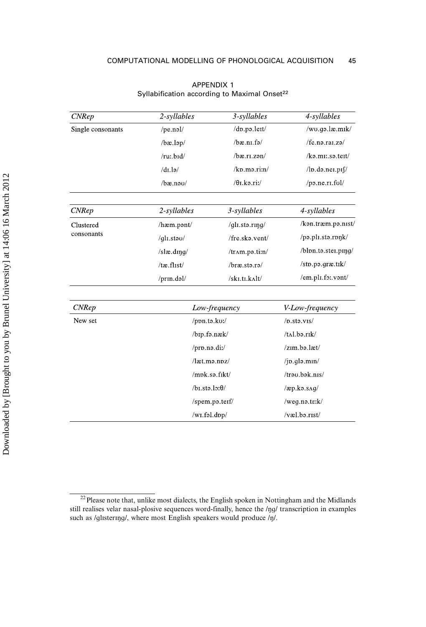| <b>CNRep</b>      | 2-syllables               | 3-syllables             | 4-syllables             |  |
|-------------------|---------------------------|-------------------------|-------------------------|--|
| Single consonants | /pe.nəl/                  | /dp.pə.leit/            | /wu.ga.læ.mik/          |  |
|                   | /bæ.lop/                  | $/$ bæ.ni.fə $/$        | /fe.na.rai.za/          |  |
|                   | /ru:.bid/                 | /bæ.ri.zən/             | /ka.mr.sa.teit/         |  |
|                   | /di.l                     | $/kp$ .ma.ri:n/         | $\ln d$ ə.nei.pi $\int$ |  |
|                   | /bæ.nəu/                  | $/θ$ I.kə.ri:/          | /po.ne.ri.ful/          |  |
| <b>CNRep</b>      | 2-syllables               | 3-syllables             | 4-syllables             |  |
| Clustered         | /hæm.pont/                | $q$ lı.stə.ring/        | /kon.træm.po.nist/      |  |
| consonants        | /gli.stau/                | /fre.sko.vent/          | /po.pli.sto.rpnk/       |  |
|                   | /slæ.ding/                | /tram.po.tim/           | /blon.to.ster.pmg/      |  |
|                   | /tæ.flist/                | /bræ.stə.rə/            | /stp.po.græ.tik/        |  |
|                   | /prin.dəl/                | /ski.ti.kalt/           | /em.pli.for.vont/       |  |
| <b>CNRep</b>      |                           | Low-frequency           | V-Low-frequency         |  |
| New set           | /ppn.tə.ku:/              |                         | $/p$ .sta.vis/          |  |
|                   | /bip.fə.næk/              | $/t$ Al.bə.rik/         |                         |  |
|                   | /prp.no.di:/              | /zim.bə.læt/            |                         |  |
|                   | $/$ læt.mə.npz $/$        | /jp.gla.mm/             |                         |  |
|                   | /mpk.sə.fikt/             | /trau.bak.nis/          |                         |  |
|                   | $/b$ I.sta.lo: $\theta$ / | $/$ æp.kə.s $\Delta q/$ |                         |  |
|                   |                           | /spem.pə.terf/          | /weg.no.te:k/           |  |
|                   | /wi.fəl.dpp/              |                         | /væl.bə.rist/           |  |

APPENDIX 1 Syllabification according to Maximal Onset $22$ 

<sup>&</sup>lt;sup>22</sup> Please note that, unlike most dialects, the English spoken in Nottingham and the Midlands still realises velar nasal-plosive sequences word-finally, hence the /ŋg/ transcription in examples such as /glɪsterɪŋg/, where most English speakers would produce /ŋ/.